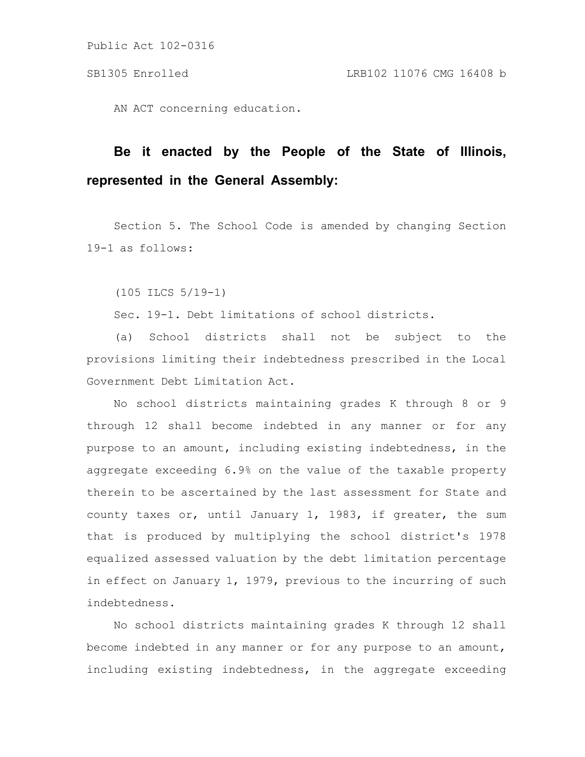AN ACT concerning education.

# **Be it enacted by the People of the State of Illinois, represented in the General Assembly:**

Section 5. The School Code is amended by changing Section 19-1 as follows:

(105 ILCS 5/19-1)

Sec. 19-1. Debt limitations of school districts.

(a) School districts shall not be subject to the provisions limiting their indebtedness prescribed in the Local Government Debt Limitation Act.

No school districts maintaining grades K through 8 or 9 through 12 shall become indebted in any manner or for any purpose to an amount, including existing indebtedness, in the aggregate exceeding 6.9% on the value of the taxable property therein to be ascertained by the last assessment for State and county taxes or, until January 1, 1983, if greater, the sum that is produced by multiplying the school district's 1978 equalized assessed valuation by the debt limitation percentage in effect on January 1, 1979, previous to the incurring of such indebtedness.

No school districts maintaining grades K through 12 shall become indebted in any manner or for any purpose to an amount, including existing indebtedness, in the aggregate exceeding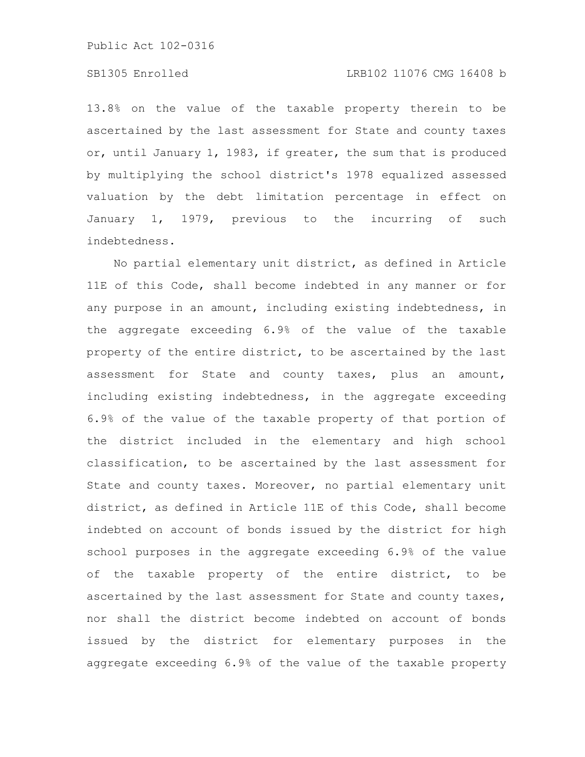### SB1305 Enrolled LRB102 11076 CMG 16408 b

13.8% on the value of the taxable property therein to be ascertained by the last assessment for State and county taxes or, until January 1, 1983, if greater, the sum that is produced by multiplying the school district's 1978 equalized assessed valuation by the debt limitation percentage in effect on January 1, 1979, previous to the incurring of such indebtedness.

No partial elementary unit district, as defined in Article 11E of this Code, shall become indebted in any manner or for any purpose in an amount, including existing indebtedness, in the aggregate exceeding 6.9% of the value of the taxable property of the entire district, to be ascertained by the last assessment for State and county taxes, plus an amount, including existing indebtedness, in the aggregate exceeding 6.9% of the value of the taxable property of that portion of the district included in the elementary and high school classification, to be ascertained by the last assessment for State and county taxes. Moreover, no partial elementary unit district, as defined in Article 11E of this Code, shall become indebted on account of bonds issued by the district for high school purposes in the aggregate exceeding 6.9% of the value of the taxable property of the entire district, to be ascertained by the last assessment for State and county taxes, nor shall the district become indebted on account of bonds issued by the district for elementary purposes in the aggregate exceeding 6.9% of the value of the taxable property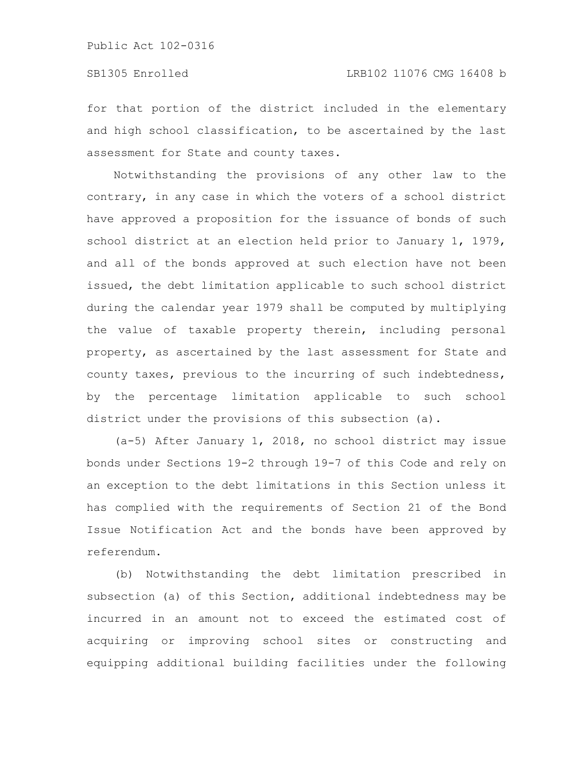for that portion of the district included in the elementary and high school classification, to be ascertained by the last assessment for State and county taxes.

Notwithstanding the provisions of any other law to the contrary, in any case in which the voters of a school district have approved a proposition for the issuance of bonds of such school district at an election held prior to January 1, 1979, and all of the bonds approved at such election have not been issued, the debt limitation applicable to such school district during the calendar year 1979 shall be computed by multiplying the value of taxable property therein, including personal property, as ascertained by the last assessment for State and county taxes, previous to the incurring of such indebtedness, by the percentage limitation applicable to such school district under the provisions of this subsection (a).

(a-5) After January 1, 2018, no school district may issue bonds under Sections 19-2 through 19-7 of this Code and rely on an exception to the debt limitations in this Section unless it has complied with the requirements of Section 21 of the Bond Issue Notification Act and the bonds have been approved by referendum.

(b) Notwithstanding the debt limitation prescribed in subsection (a) of this Section, additional indebtedness may be incurred in an amount not to exceed the estimated cost of acquiring or improving school sites or constructing and equipping additional building facilities under the following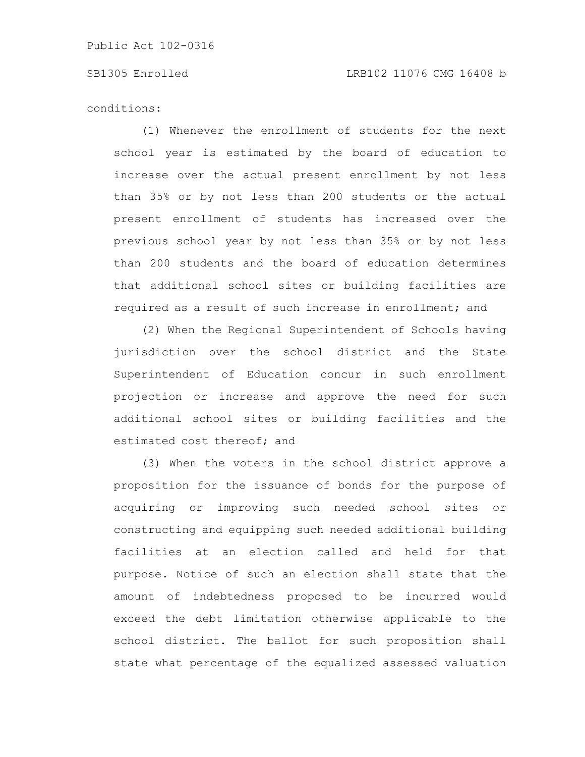#### SB1305 Enrolled LRB102 11076 CMG 16408 b

conditions:

(1) Whenever the enrollment of students for the next school year is estimated by the board of education to increase over the actual present enrollment by not less than 35% or by not less than 200 students or the actual present enrollment of students has increased over the previous school year by not less than 35% or by not less than 200 students and the board of education determines that additional school sites or building facilities are required as a result of such increase in enrollment; and

(2) When the Regional Superintendent of Schools having jurisdiction over the school district and the State Superintendent of Education concur in such enrollment projection or increase and approve the need for such additional school sites or building facilities and the estimated cost thereof; and

(3) When the voters in the school district approve a proposition for the issuance of bonds for the purpose of acquiring or improving such needed school sites or constructing and equipping such needed additional building facilities at an election called and held for that purpose. Notice of such an election shall state that the amount of indebtedness proposed to be incurred would exceed the debt limitation otherwise applicable to the school district. The ballot for such proposition shall state what percentage of the equalized assessed valuation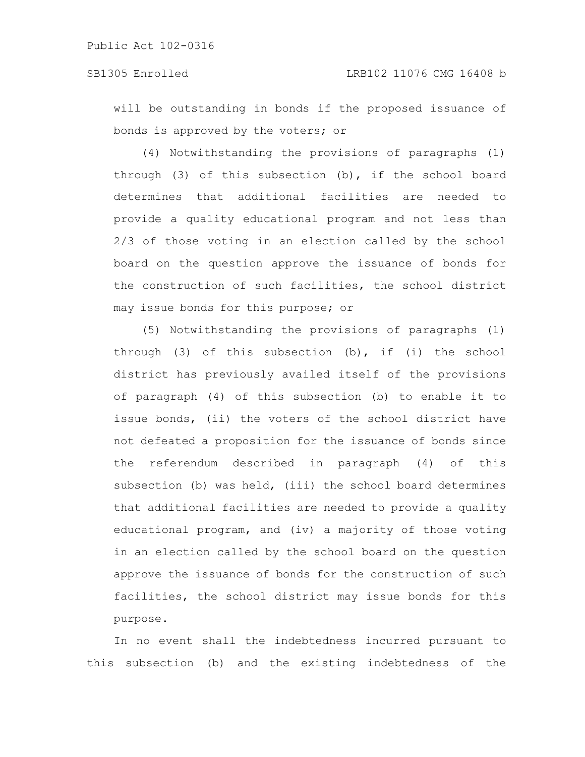will be outstanding in bonds if the proposed issuance of bonds is approved by the voters; or

(4) Notwithstanding the provisions of paragraphs (1) through (3) of this subsection (b), if the school board determines that additional facilities are needed to provide a quality educational program and not less than 2/3 of those voting in an election called by the school board on the question approve the issuance of bonds for the construction of such facilities, the school district may issue bonds for this purpose; or

(5) Notwithstanding the provisions of paragraphs (1) through (3) of this subsection (b), if (i) the school district has previously availed itself of the provisions of paragraph (4) of this subsection (b) to enable it to issue bonds, (ii) the voters of the school district have not defeated a proposition for the issuance of bonds since the referendum described in paragraph (4) of this subsection (b) was held, (iii) the school board determines that additional facilities are needed to provide a quality educational program, and (iv) a majority of those voting in an election called by the school board on the question approve the issuance of bonds for the construction of such facilities, the school district may issue bonds for this purpose.

In no event shall the indebtedness incurred pursuant to this subsection (b) and the existing indebtedness of the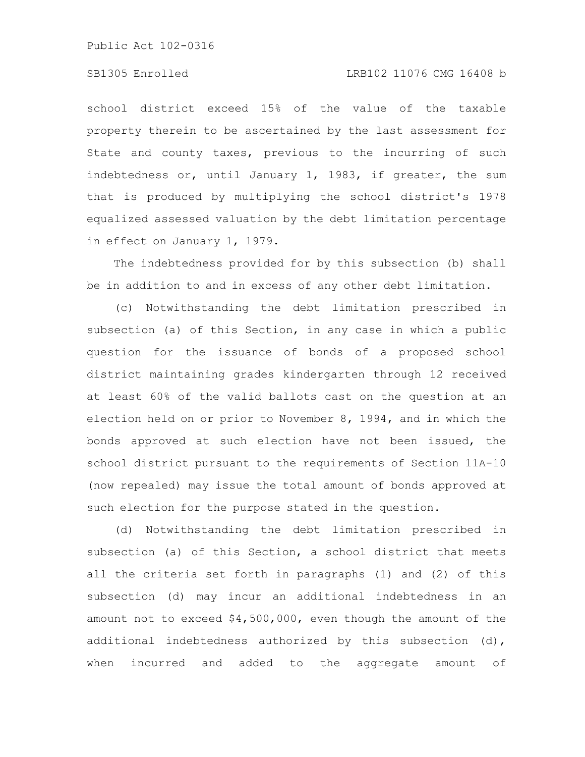### SB1305 Enrolled LRB102 11076 CMG 16408 b

school district exceed 15% of the value of the taxable property therein to be ascertained by the last assessment for State and county taxes, previous to the incurring of such indebtedness or, until January 1, 1983, if greater, the sum that is produced by multiplying the school district's 1978 equalized assessed valuation by the debt limitation percentage in effect on January 1, 1979.

The indebtedness provided for by this subsection (b) shall be in addition to and in excess of any other debt limitation.

(c) Notwithstanding the debt limitation prescribed in subsection (a) of this Section, in any case in which a public question for the issuance of bonds of a proposed school district maintaining grades kindergarten through 12 received at least 60% of the valid ballots cast on the question at an election held on or prior to November 8, 1994, and in which the bonds approved at such election have not been issued, the school district pursuant to the requirements of Section 11A-10 (now repealed) may issue the total amount of bonds approved at such election for the purpose stated in the question.

(d) Notwithstanding the debt limitation prescribed in subsection (a) of this Section, a school district that meets all the criteria set forth in paragraphs (1) and (2) of this subsection (d) may incur an additional indebtedness in an amount not to exceed \$4,500,000, even though the amount of the additional indebtedness authorized by this subsection (d), when incurred and added to the aggregate amount of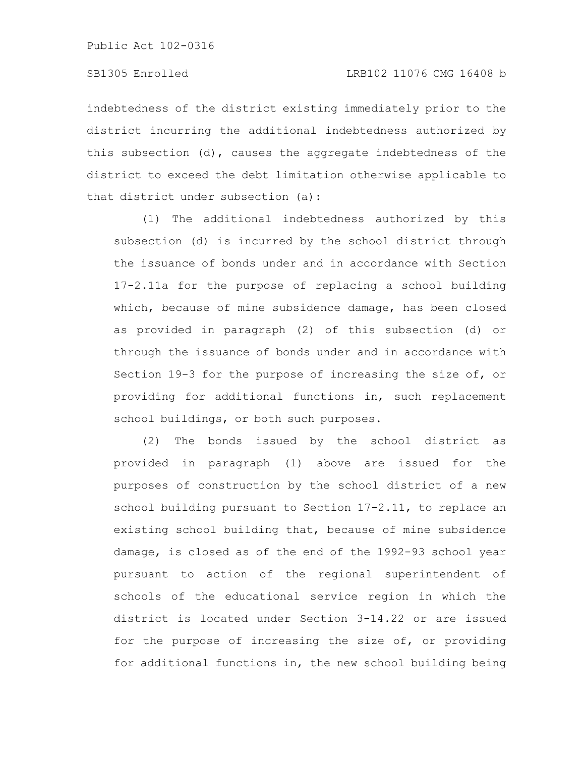indebtedness of the district existing immediately prior to the district incurring the additional indebtedness authorized by this subsection (d), causes the aggregate indebtedness of the district to exceed the debt limitation otherwise applicable to that district under subsection (a):

(1) The additional indebtedness authorized by this subsection (d) is incurred by the school district through the issuance of bonds under and in accordance with Section 17-2.11a for the purpose of replacing a school building which, because of mine subsidence damage, has been closed as provided in paragraph (2) of this subsection (d) or through the issuance of bonds under and in accordance with Section 19-3 for the purpose of increasing the size of, or providing for additional functions in, such replacement school buildings, or both such purposes.

(2) The bonds issued by the school district as provided in paragraph (1) above are issued for the purposes of construction by the school district of a new school building pursuant to Section 17-2.11, to replace an existing school building that, because of mine subsidence damage, is closed as of the end of the 1992-93 school year pursuant to action of the regional superintendent of schools of the educational service region in which the district is located under Section 3-14.22 or are issued for the purpose of increasing the size of, or providing for additional functions in, the new school building being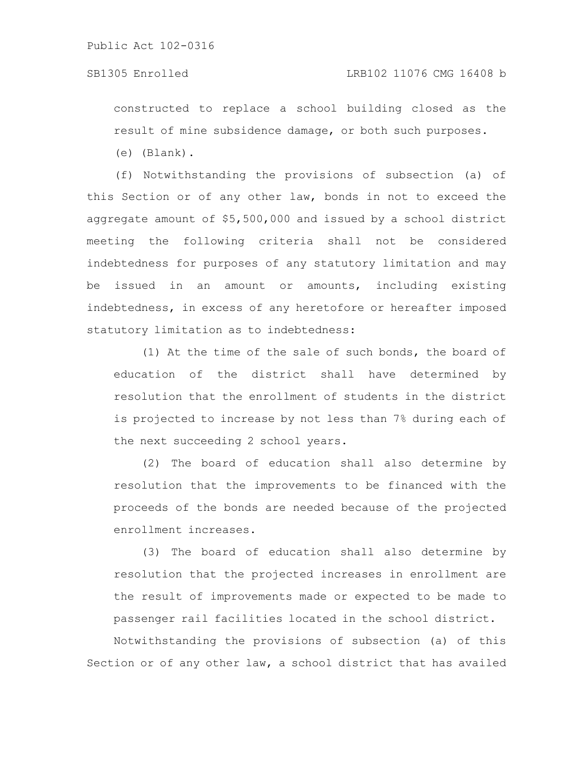### SB1305 Enrolled LRB102 11076 CMG 16408 b

constructed to replace a school building closed as the result of mine subsidence damage, or both such purposes.

(e) (Blank).

(f) Notwithstanding the provisions of subsection (a) of this Section or of any other law, bonds in not to exceed the aggregate amount of \$5,500,000 and issued by a school district meeting the following criteria shall not be considered indebtedness for purposes of any statutory limitation and may be issued in an amount or amounts, including existing indebtedness, in excess of any heretofore or hereafter imposed statutory limitation as to indebtedness:

(1) At the time of the sale of such bonds, the board of education of the district shall have determined by resolution that the enrollment of students in the district is projected to increase by not less than 7% during each of the next succeeding 2 school years.

(2) The board of education shall also determine by resolution that the improvements to be financed with the proceeds of the bonds are needed because of the projected enrollment increases.

(3) The board of education shall also determine by resolution that the projected increases in enrollment are the result of improvements made or expected to be made to passenger rail facilities located in the school district.

Notwithstanding the provisions of subsection (a) of this Section or of any other law, a school district that has availed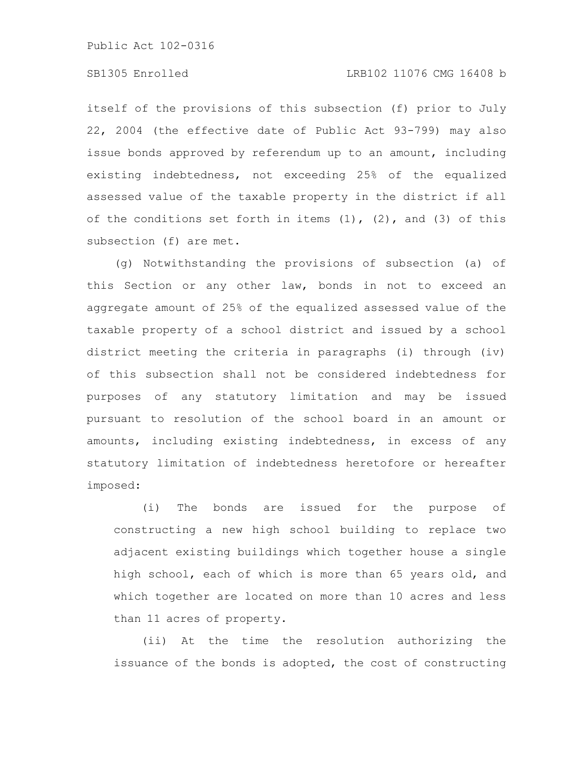# SB1305 Enrolled LRB102 11076 CMG 16408 b

itself of the provisions of this subsection (f) prior to July 22, 2004 (the effective date of Public Act 93-799) may also issue bonds approved by referendum up to an amount, including existing indebtedness, not exceeding 25% of the equalized assessed value of the taxable property in the district if all of the conditions set forth in items  $(1)$ ,  $(2)$ , and  $(3)$  of this subsection (f) are met.

(g) Notwithstanding the provisions of subsection (a) of this Section or any other law, bonds in not to exceed an aggregate amount of 25% of the equalized assessed value of the taxable property of a school district and issued by a school district meeting the criteria in paragraphs (i) through (iv) of this subsection shall not be considered indebtedness for purposes of any statutory limitation and may be issued pursuant to resolution of the school board in an amount or amounts, including existing indebtedness, in excess of any statutory limitation of indebtedness heretofore or hereafter imposed:

(i) The bonds are issued for the purpose of constructing a new high school building to replace two adjacent existing buildings which together house a single high school, each of which is more than 65 years old, and which together are located on more than 10 acres and less than 11 acres of property.

(ii) At the time the resolution authorizing the issuance of the bonds is adopted, the cost of constructing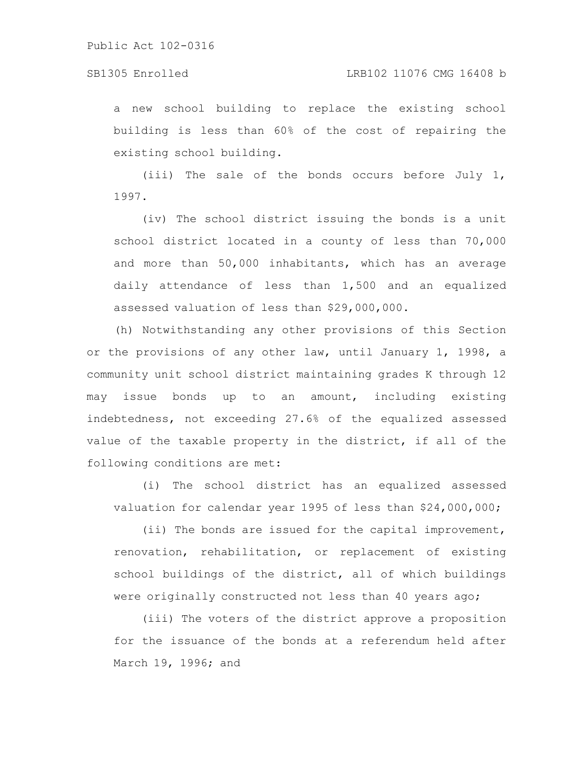### SB1305 Enrolled LRB102 11076 CMG 16408 b

a new school building to replace the existing school building is less than 60% of the cost of repairing the existing school building.

(iii) The sale of the bonds occurs before July 1, 1997.

(iv) The school district issuing the bonds is a unit school district located in a county of less than 70,000 and more than 50,000 inhabitants, which has an average daily attendance of less than 1,500 and an equalized assessed valuation of less than \$29,000,000.

(h) Notwithstanding any other provisions of this Section or the provisions of any other law, until January 1, 1998, a community unit school district maintaining grades K through 12 may issue bonds up to an amount, including existing indebtedness, not exceeding 27.6% of the equalized assessed value of the taxable property in the district, if all of the following conditions are met:

(i) The school district has an equalized assessed valuation for calendar year 1995 of less than \$24,000,000;

(ii) The bonds are issued for the capital improvement, renovation, rehabilitation, or replacement of existing school buildings of the district, all of which buildings were originally constructed not less than 40 years ago;

(iii) The voters of the district approve a proposition for the issuance of the bonds at a referendum held after March 19, 1996; and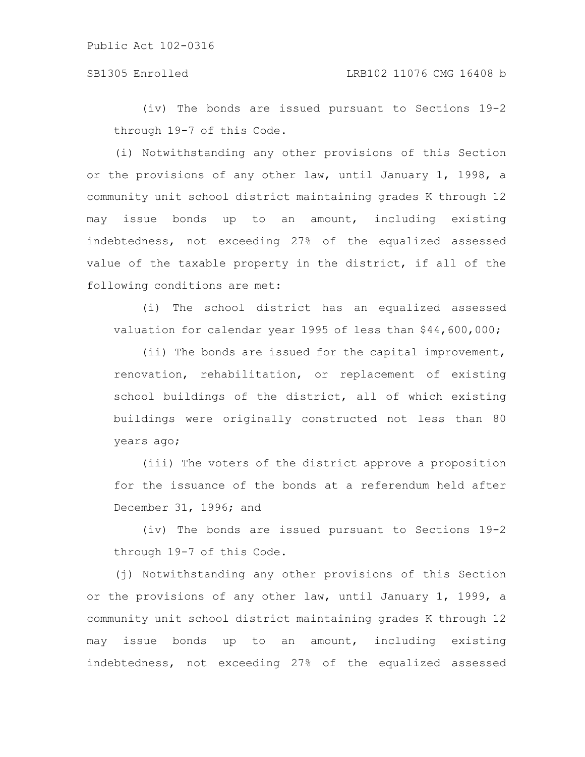(iv) The bonds are issued pursuant to Sections 19-2 through 19-7 of this Code.

(i) Notwithstanding any other provisions of this Section or the provisions of any other law, until January 1, 1998, a community unit school district maintaining grades K through 12 may issue bonds up to an amount, including existing indebtedness, not exceeding 27% of the equalized assessed value of the taxable property in the district, if all of the following conditions are met:

(i) The school district has an equalized assessed valuation for calendar year 1995 of less than \$44,600,000;

(ii) The bonds are issued for the capital improvement, renovation, rehabilitation, or replacement of existing school buildings of the district, all of which existing buildings were originally constructed not less than 80 years ago;

(iii) The voters of the district approve a proposition for the issuance of the bonds at a referendum held after December 31, 1996; and

(iv) The bonds are issued pursuant to Sections 19-2 through 19-7 of this Code.

(j) Notwithstanding any other provisions of this Section or the provisions of any other law, until January 1, 1999, a community unit school district maintaining grades K through 12 may issue bonds up to an amount, including existing indebtedness, not exceeding 27% of the equalized assessed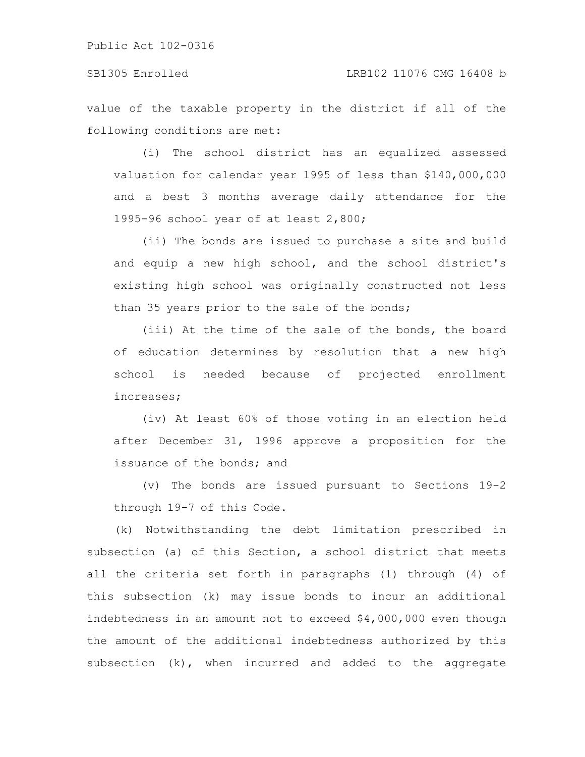### SB1305 Enrolled LRB102 11076 CMG 16408 b

value of the taxable property in the district if all of the following conditions are met:

(i) The school district has an equalized assessed valuation for calendar year 1995 of less than \$140,000,000 and a best 3 months average daily attendance for the 1995-96 school year of at least 2,800;

(ii) The bonds are issued to purchase a site and build and equip a new high school, and the school district's existing high school was originally constructed not less than 35 years prior to the sale of the bonds;

(iii) At the time of the sale of the bonds, the board of education determines by resolution that a new high school is needed because of projected enrollment increases;

(iv) At least 60% of those voting in an election held after December 31, 1996 approve a proposition for the issuance of the bonds; and

(v) The bonds are issued pursuant to Sections 19-2 through 19-7 of this Code.

(k) Notwithstanding the debt limitation prescribed in subsection (a) of this Section, a school district that meets all the criteria set forth in paragraphs (1) through (4) of this subsection (k) may issue bonds to incur an additional indebtedness in an amount not to exceed \$4,000,000 even though the amount of the additional indebtedness authorized by this subsection (k), when incurred and added to the aggregate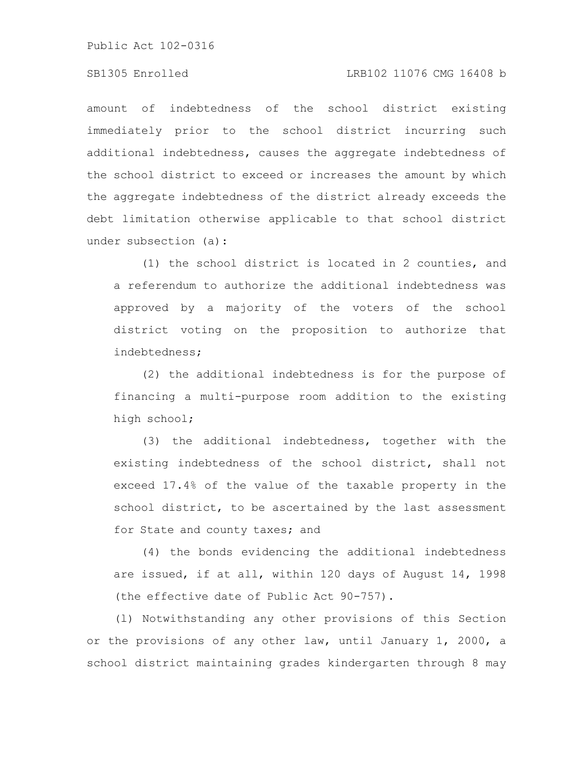# SB1305 Enrolled LRB102 11076 CMG 16408 b

amount of indebtedness of the school district existing immediately prior to the school district incurring such additional indebtedness, causes the aggregate indebtedness of the school district to exceed or increases the amount by which the aggregate indebtedness of the district already exceeds the debt limitation otherwise applicable to that school district under subsection (a):

(1) the school district is located in 2 counties, and a referendum to authorize the additional indebtedness was approved by a majority of the voters of the school district voting on the proposition to authorize that indebtedness;

(2) the additional indebtedness is for the purpose of financing a multi-purpose room addition to the existing high school;

(3) the additional indebtedness, together with the existing indebtedness of the school district, shall not exceed 17.4% of the value of the taxable property in the school district, to be ascertained by the last assessment for State and county taxes; and

(4) the bonds evidencing the additional indebtedness are issued, if at all, within 120 days of August 14, 1998 (the effective date of Public Act 90-757).

(l) Notwithstanding any other provisions of this Section or the provisions of any other law, until January 1, 2000, a school district maintaining grades kindergarten through 8 may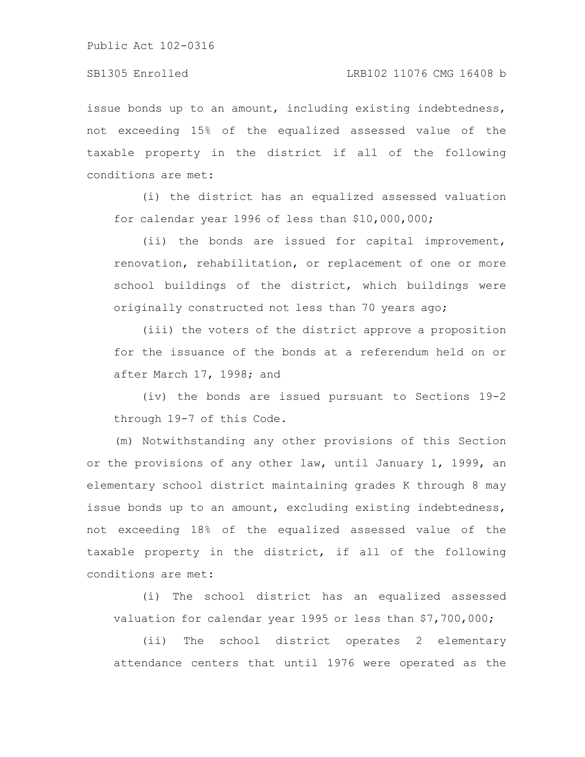issue bonds up to an amount, including existing indebtedness, not exceeding 15% of the equalized assessed value of the taxable property in the district if all of the following conditions are met:

(i) the district has an equalized assessed valuation for calendar year 1996 of less than \$10,000,000;

(ii) the bonds are issued for capital improvement, renovation, rehabilitation, or replacement of one or more school buildings of the district, which buildings were originally constructed not less than 70 years ago;

(iii) the voters of the district approve a proposition for the issuance of the bonds at a referendum held on or after March 17, 1998; and

(iv) the bonds are issued pursuant to Sections 19-2 through 19-7 of this Code.

(m) Notwithstanding any other provisions of this Section or the provisions of any other law, until January 1, 1999, an elementary school district maintaining grades K through 8 may issue bonds up to an amount, excluding existing indebtedness, not exceeding 18% of the equalized assessed value of the taxable property in the district, if all of the following conditions are met:

(i) The school district has an equalized assessed valuation for calendar year 1995 or less than \$7,700,000;

(ii) The school district operates 2 elementary attendance centers that until 1976 were operated as the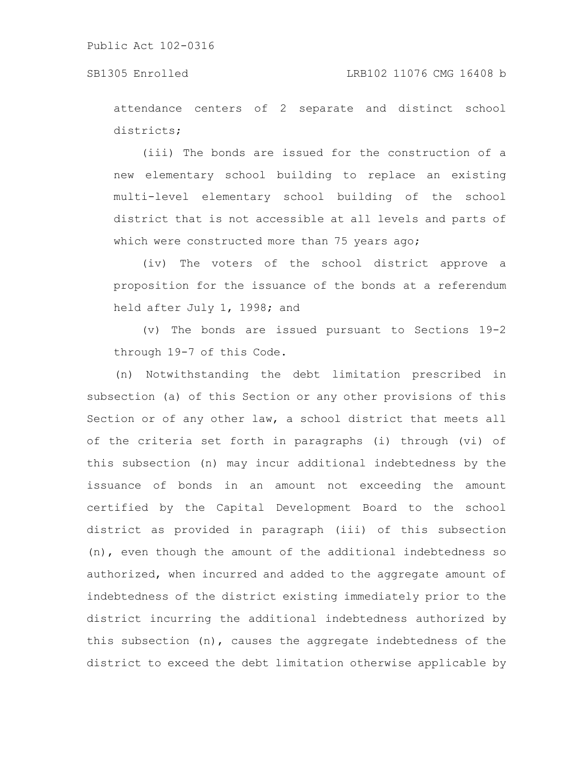attendance centers of 2 separate and distinct school districts;

(iii) The bonds are issued for the construction of a new elementary school building to replace an existing multi-level elementary school building of the school district that is not accessible at all levels and parts of which were constructed more than 75 years ago;

(iv) The voters of the school district approve a proposition for the issuance of the bonds at a referendum held after July 1, 1998; and

(v) The bonds are issued pursuant to Sections 19-2 through 19-7 of this Code.

(n) Notwithstanding the debt limitation prescribed in subsection (a) of this Section or any other provisions of this Section or of any other law, a school district that meets all of the criteria set forth in paragraphs (i) through (vi) of this subsection (n) may incur additional indebtedness by the issuance of bonds in an amount not exceeding the amount certified by the Capital Development Board to the school district as provided in paragraph (iii) of this subsection (n), even though the amount of the additional indebtedness so authorized, when incurred and added to the aggregate amount of indebtedness of the district existing immediately prior to the district incurring the additional indebtedness authorized by this subsection (n), causes the aggregate indebtedness of the district to exceed the debt limitation otherwise applicable by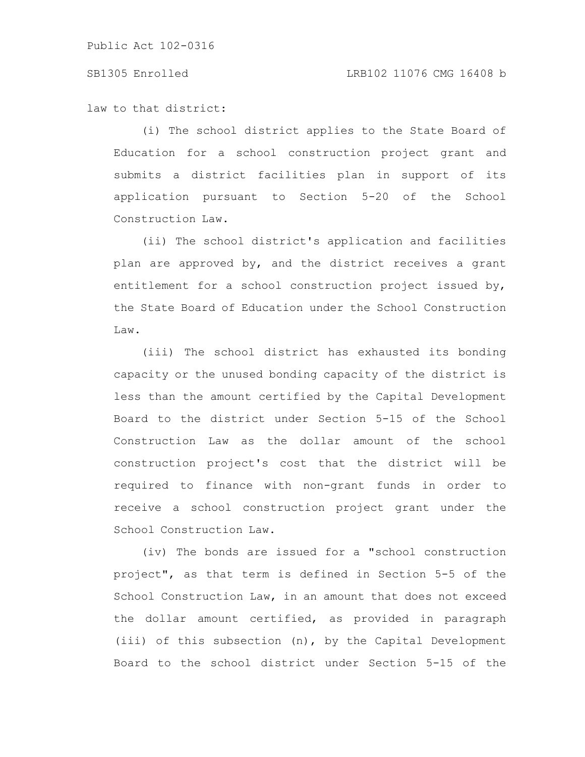#### SB1305 Enrolled LRB102 11076 CMG 16408 b

law to that district:

(i) The school district applies to the State Board of Education for a school construction project grant and submits a district facilities plan in support of its application pursuant to Section 5-20 of the School Construction Law.

(ii) The school district's application and facilities plan are approved by, and the district receives a grant entitlement for a school construction project issued by, the State Board of Education under the School Construction Law.

(iii) The school district has exhausted its bonding capacity or the unused bonding capacity of the district is less than the amount certified by the Capital Development Board to the district under Section 5-15 of the School Construction Law as the dollar amount of the school construction project's cost that the district will be required to finance with non-grant funds in order to receive a school construction project grant under the School Construction Law.

(iv) The bonds are issued for a "school construction project", as that term is defined in Section 5-5 of the School Construction Law, in an amount that does not exceed the dollar amount certified, as provided in paragraph (iii) of this subsection (n), by the Capital Development Board to the school district under Section 5-15 of the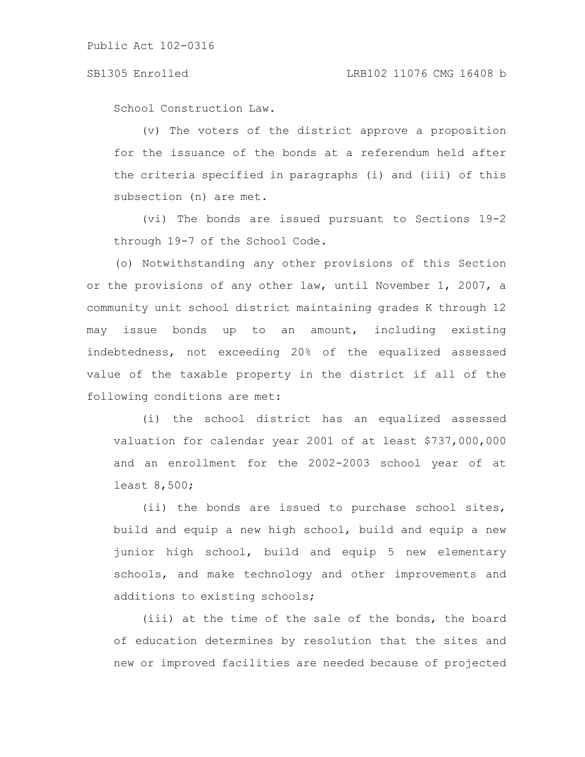School Construction Law.

(v) The voters of the district approve a proposition for the issuance of the bonds at a referendum held after the criteria specified in paragraphs (i) and (iii) of this subsection (n) are met.

(vi) The bonds are issued pursuant to Sections 19-2 through 19-7 of the School Code.

(o) Notwithstanding any other provisions of this Section or the provisions of any other law, until November 1, 2007, a community unit school district maintaining grades K through 12 may issue bonds up to an amount, including existing indebtedness, not exceeding 20% of the equalized assessed value of the taxable property in the district if all of the following conditions are met:

(i) the school district has an equalized assessed valuation for calendar year 2001 of at least \$737,000,000 and an enrollment for the 2002-2003 school year of at least 8,500;

(ii) the bonds are issued to purchase school sites, build and equip a new high school, build and equip a new junior high school, build and equip 5 new elementary schools, and make technology and other improvements and additions to existing schools;

(iii) at the time of the sale of the bonds, the board of education determines by resolution that the sites and new or improved facilities are needed because of projected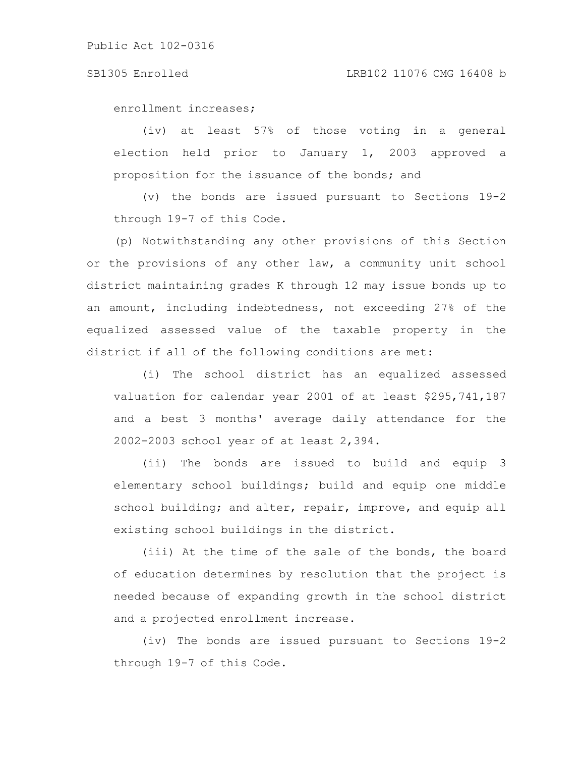enrollment increases;

(iv) at least 57% of those voting in a general election held prior to January 1, 2003 approved a proposition for the issuance of the bonds; and

(v) the bonds are issued pursuant to Sections 19-2 through 19-7 of this Code.

(p) Notwithstanding any other provisions of this Section or the provisions of any other law, a community unit school district maintaining grades K through 12 may issue bonds up to an amount, including indebtedness, not exceeding 27% of the equalized assessed value of the taxable property in the district if all of the following conditions are met:

(i) The school district has an equalized assessed valuation for calendar year 2001 of at least \$295,741,187 and a best 3 months' average daily attendance for the 2002-2003 school year of at least 2,394.

(ii) The bonds are issued to build and equip 3 elementary school buildings; build and equip one middle school building; and alter, repair, improve, and equip all existing school buildings in the district.

(iii) At the time of the sale of the bonds, the board of education determines by resolution that the project is needed because of expanding growth in the school district and a projected enrollment increase.

(iv) The bonds are issued pursuant to Sections 19-2 through 19-7 of this Code.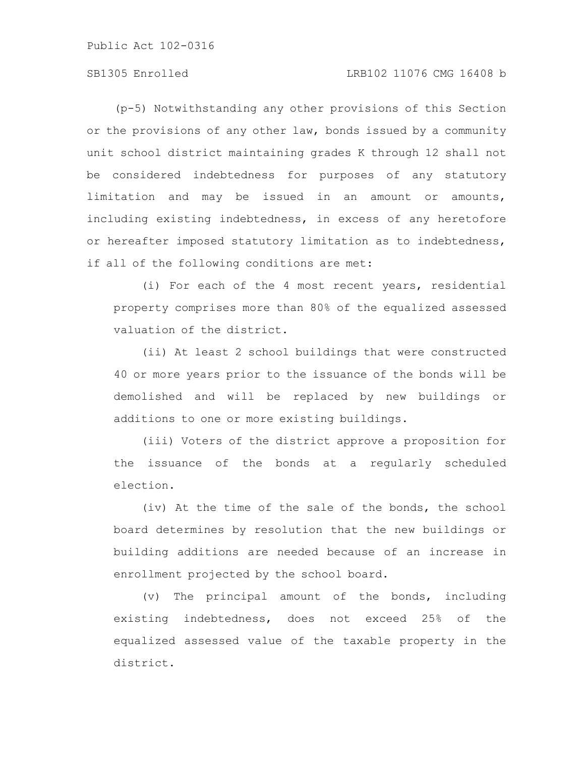# SB1305 Enrolled LRB102 11076 CMG 16408 b

(p-5) Notwithstanding any other provisions of this Section or the provisions of any other law, bonds issued by a community unit school district maintaining grades K through 12 shall not be considered indebtedness for purposes of any statutory limitation and may be issued in an amount or amounts, including existing indebtedness, in excess of any heretofore or hereafter imposed statutory limitation as to indebtedness, if all of the following conditions are met:

(i) For each of the 4 most recent years, residential property comprises more than 80% of the equalized assessed valuation of the district.

(ii) At least 2 school buildings that were constructed 40 or more years prior to the issuance of the bonds will be demolished and will be replaced by new buildings or additions to one or more existing buildings.

(iii) Voters of the district approve a proposition for the issuance of the bonds at a regularly scheduled election.

(iv) At the time of the sale of the bonds, the school board determines by resolution that the new buildings or building additions are needed because of an increase in enrollment projected by the school board.

(v) The principal amount of the bonds, including existing indebtedness, does not exceed 25% of the equalized assessed value of the taxable property in the district.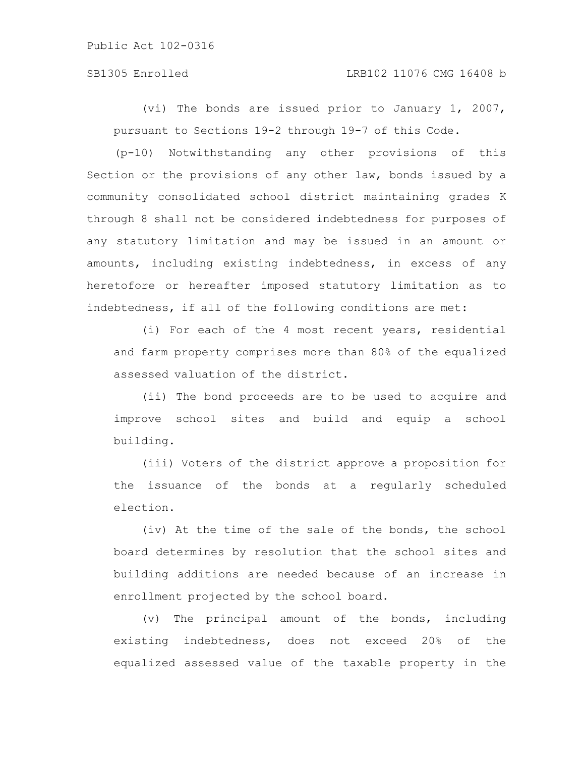#### SB1305 Enrolled LRB102 11076 CMG 16408 b

(vi) The bonds are issued prior to January 1, 2007, pursuant to Sections 19-2 through 19-7 of this Code.

(p-10) Notwithstanding any other provisions of this Section or the provisions of any other law, bonds issued by a community consolidated school district maintaining grades K through 8 shall not be considered indebtedness for purposes of any statutory limitation and may be issued in an amount or amounts, including existing indebtedness, in excess of any heretofore or hereafter imposed statutory limitation as to indebtedness, if all of the following conditions are met:

(i) For each of the 4 most recent years, residential and farm property comprises more than 80% of the equalized assessed valuation of the district.

(ii) The bond proceeds are to be used to acquire and improve school sites and build and equip a school building.

(iii) Voters of the district approve a proposition for the issuance of the bonds at a regularly scheduled election.

(iv) At the time of the sale of the bonds, the school board determines by resolution that the school sites and building additions are needed because of an increase in enrollment projected by the school board.

(v) The principal amount of the bonds, including existing indebtedness, does not exceed 20% of the equalized assessed value of the taxable property in the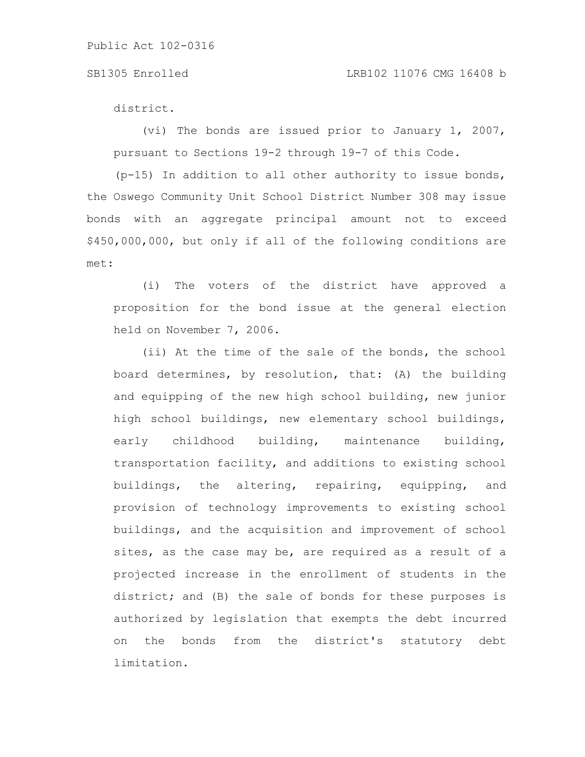district.

(vi) The bonds are issued prior to January 1, 2007, pursuant to Sections 19-2 through 19-7 of this Code.

 $(p-15)$  In addition to all other authority to issue bonds, the Oswego Community Unit School District Number 308 may issue bonds with an aggregate principal amount not to exceed \$450,000,000, but only if all of the following conditions are met:

(i) The voters of the district have approved a proposition for the bond issue at the general election held on November 7, 2006.

(ii) At the time of the sale of the bonds, the school board determines, by resolution, that: (A) the building and equipping of the new high school building, new junior high school buildings, new elementary school buildings, early childhood building, maintenance building, transportation facility, and additions to existing school buildings, the altering, repairing, equipping, and provision of technology improvements to existing school buildings, and the acquisition and improvement of school sites, as the case may be, are required as a result of a projected increase in the enrollment of students in the district; and (B) the sale of bonds for these purposes is authorized by legislation that exempts the debt incurred on the bonds from the district's statutory debt limitation.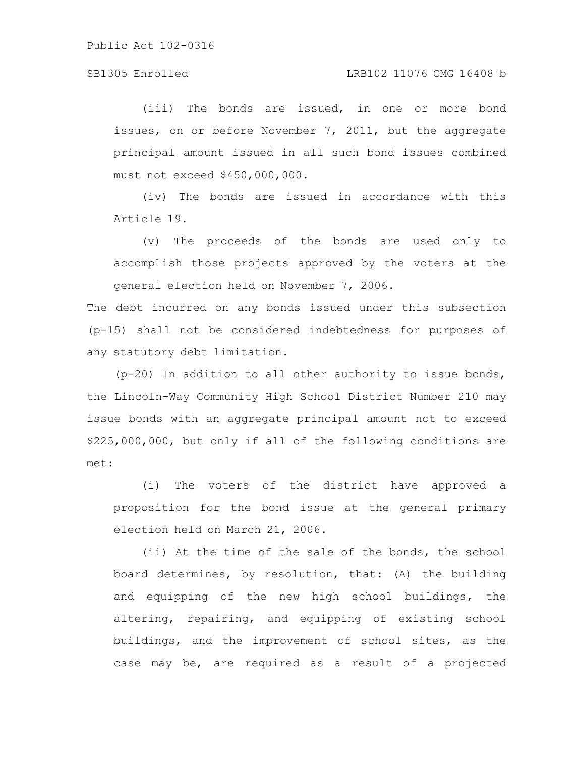### SB1305 Enrolled LRB102 11076 CMG 16408 b

(iii) The bonds are issued, in one or more bond issues, on or before November 7, 2011, but the aggregate principal amount issued in all such bond issues combined must not exceed \$450,000,000.

(iv) The bonds are issued in accordance with this Article 19.

(v) The proceeds of the bonds are used only to accomplish those projects approved by the voters at the general election held on November 7, 2006.

The debt incurred on any bonds issued under this subsection (p-15) shall not be considered indebtedness for purposes of any statutory debt limitation.

(p-20) In addition to all other authority to issue bonds, the Lincoln-Way Community High School District Number 210 may issue bonds with an aggregate principal amount not to exceed \$225,000,000, but only if all of the following conditions are met:

(i) The voters of the district have approved a proposition for the bond issue at the general primary election held on March 21, 2006.

(ii) At the time of the sale of the bonds, the school board determines, by resolution, that: (A) the building and equipping of the new high school buildings, the altering, repairing, and equipping of existing school buildings, and the improvement of school sites, as the case may be, are required as a result of a projected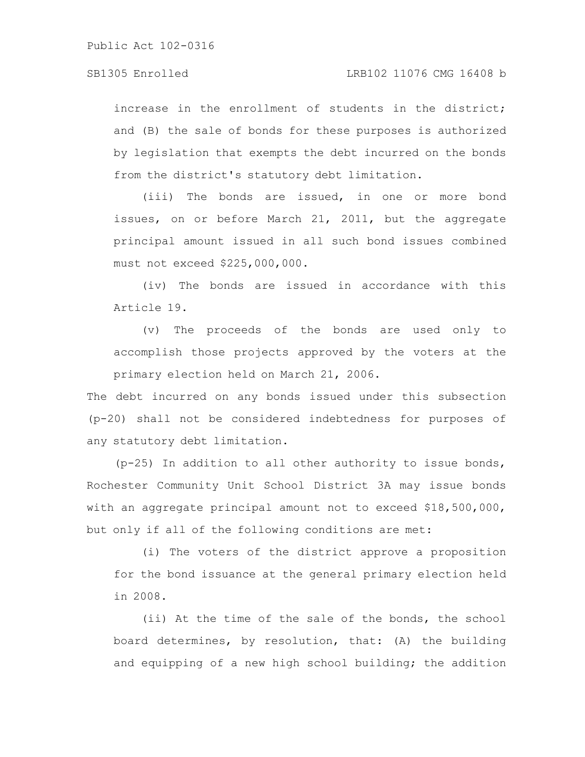increase in the enrollment of students in the district; and (B) the sale of bonds for these purposes is authorized by legislation that exempts the debt incurred on the bonds from the district's statutory debt limitation.

(iii) The bonds are issued, in one or more bond issues, on or before March 21, 2011, but the aggregate principal amount issued in all such bond issues combined must not exceed \$225,000,000.

(iv) The bonds are issued in accordance with this Article 19.

(v) The proceeds of the bonds are used only to accomplish those projects approved by the voters at the primary election held on March 21, 2006.

The debt incurred on any bonds issued under this subsection (p-20) shall not be considered indebtedness for purposes of any statutory debt limitation.

(p-25) In addition to all other authority to issue bonds, Rochester Community Unit School District 3A may issue bonds with an aggregate principal amount not to exceed \$18,500,000, but only if all of the following conditions are met:

(i) The voters of the district approve a proposition for the bond issuance at the general primary election held in 2008.

(ii) At the time of the sale of the bonds, the school board determines, by resolution, that: (A) the building and equipping of a new high school building; the addition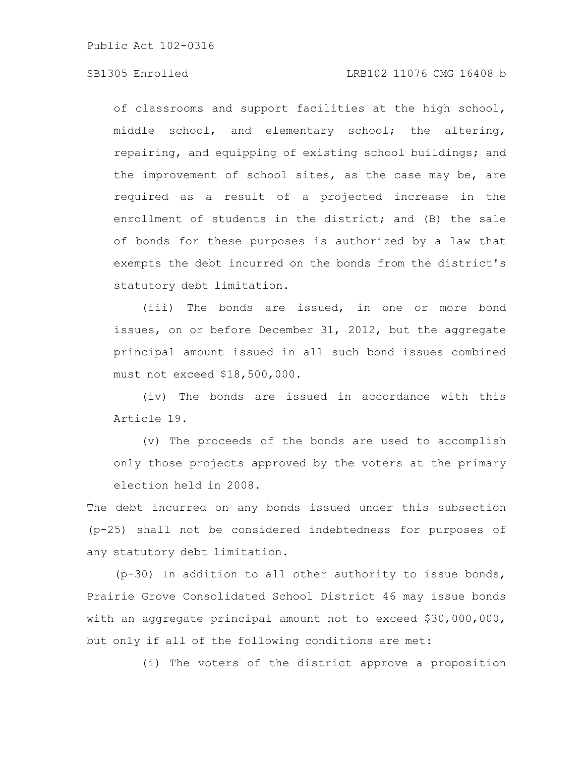### SB1305 Enrolled LRB102 11076 CMG 16408 b

of classrooms and support facilities at the high school, middle school, and elementary school; the altering, repairing, and equipping of existing school buildings; and the improvement of school sites, as the case may be, are required as a result of a projected increase in the enrollment of students in the district; and (B) the sale of bonds for these purposes is authorized by a law that exempts the debt incurred on the bonds from the district's statutory debt limitation.

(iii) The bonds are issued, in one or more bond issues, on or before December 31, 2012, but the aggregate principal amount issued in all such bond issues combined must not exceed \$18,500,000.

(iv) The bonds are issued in accordance with this Article 19.

(v) The proceeds of the bonds are used to accomplish only those projects approved by the voters at the primary election held in 2008.

The debt incurred on any bonds issued under this subsection (p-25) shall not be considered indebtedness for purposes of any statutory debt limitation.

(p-30) In addition to all other authority to issue bonds, Prairie Grove Consolidated School District 46 may issue bonds with an aggregate principal amount not to exceed \$30,000,000, but only if all of the following conditions are met:

(i) The voters of the district approve a proposition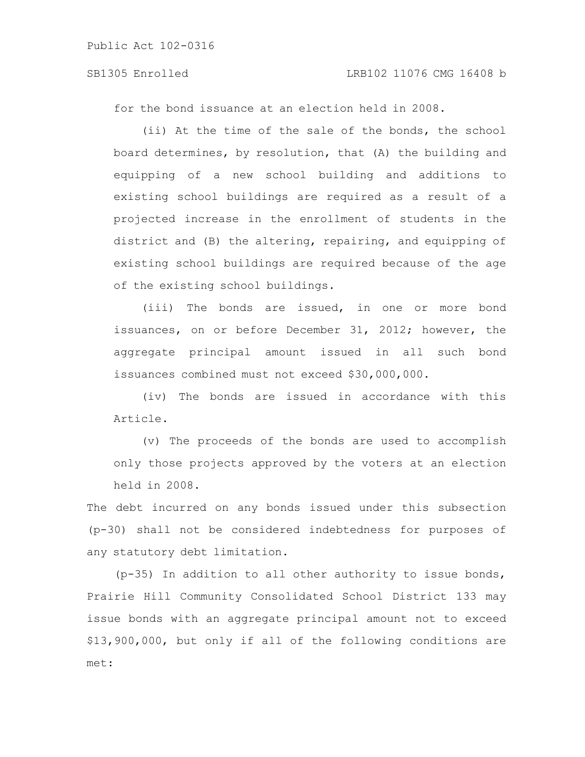### SB1305 Enrolled LRB102 11076 CMG 16408 b

for the bond issuance at an election held in 2008.

(ii) At the time of the sale of the bonds, the school board determines, by resolution, that (A) the building and equipping of a new school building and additions to existing school buildings are required as a result of a projected increase in the enrollment of students in the district and (B) the altering, repairing, and equipping of existing school buildings are required because of the age of the existing school buildings.

(iii) The bonds are issued, in one or more bond issuances, on or before December 31, 2012; however, the aggregate principal amount issued in all such bond issuances combined must not exceed \$30,000,000.

(iv) The bonds are issued in accordance with this Article.

(v) The proceeds of the bonds are used to accomplish only those projects approved by the voters at an election held in 2008.

The debt incurred on any bonds issued under this subsection (p-30) shall not be considered indebtedness for purposes of any statutory debt limitation.

(p-35) In addition to all other authority to issue bonds, Prairie Hill Community Consolidated School District 133 may issue bonds with an aggregate principal amount not to exceed \$13,900,000, but only if all of the following conditions are met: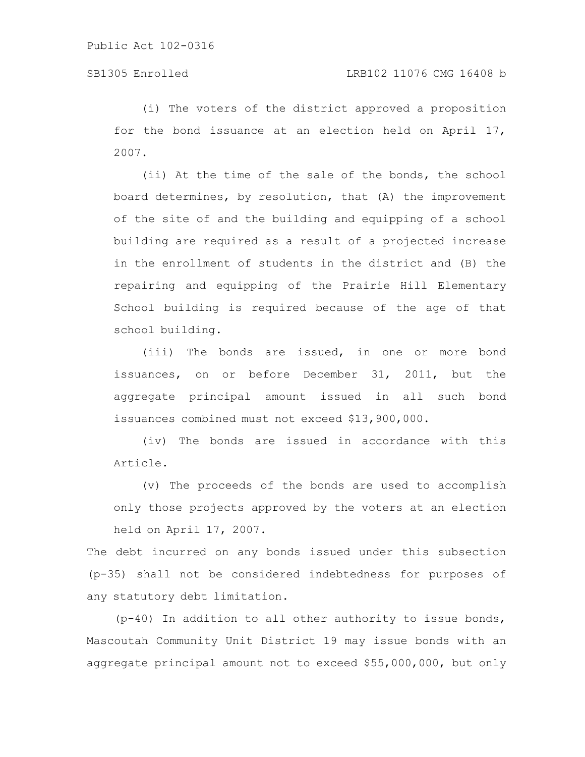(i) The voters of the district approved a proposition for the bond issuance at an election held on April 17, 2007.

(ii) At the time of the sale of the bonds, the school board determines, by resolution, that (A) the improvement of the site of and the building and equipping of a school building are required as a result of a projected increase in the enrollment of students in the district and (B) the repairing and equipping of the Prairie Hill Elementary School building is required because of the age of that school building.

(iii) The bonds are issued, in one or more bond issuances, on or before December 31, 2011, but the aggregate principal amount issued in all such bond issuances combined must not exceed \$13,900,000.

(iv) The bonds are issued in accordance with this Article.

(v) The proceeds of the bonds are used to accomplish only those projects approved by the voters at an election held on April 17, 2007.

The debt incurred on any bonds issued under this subsection (p-35) shall not be considered indebtedness for purposes of any statutory debt limitation.

(p-40) In addition to all other authority to issue bonds, Mascoutah Community Unit District 19 may issue bonds with an aggregate principal amount not to exceed \$55,000,000, but only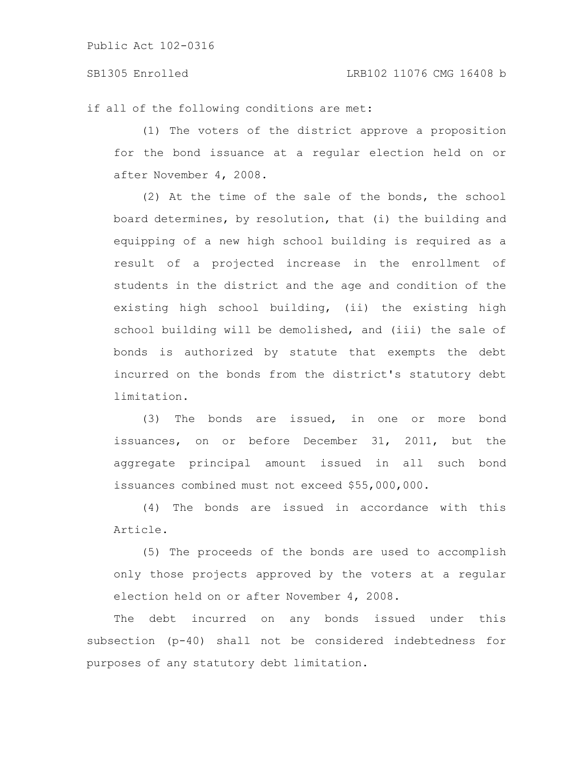#### SB1305 Enrolled LRB102 11076 CMG 16408 b

if all of the following conditions are met:

(1) The voters of the district approve a proposition for the bond issuance at a regular election held on or after November 4, 2008.

(2) At the time of the sale of the bonds, the school board determines, by resolution, that (i) the building and equipping of a new high school building is required as a result of a projected increase in the enrollment of students in the district and the age and condition of the existing high school building, (ii) the existing high school building will be demolished, and (iii) the sale of bonds is authorized by statute that exempts the debt incurred on the bonds from the district's statutory debt limitation.

(3) The bonds are issued, in one or more bond issuances, on or before December 31, 2011, but the aggregate principal amount issued in all such bond issuances combined must not exceed \$55,000,000.

(4) The bonds are issued in accordance with this Article.

(5) The proceeds of the bonds are used to accomplish only those projects approved by the voters at a regular election held on or after November 4, 2008.

The debt incurred on any bonds issued under this subsection (p-40) shall not be considered indebtedness for purposes of any statutory debt limitation.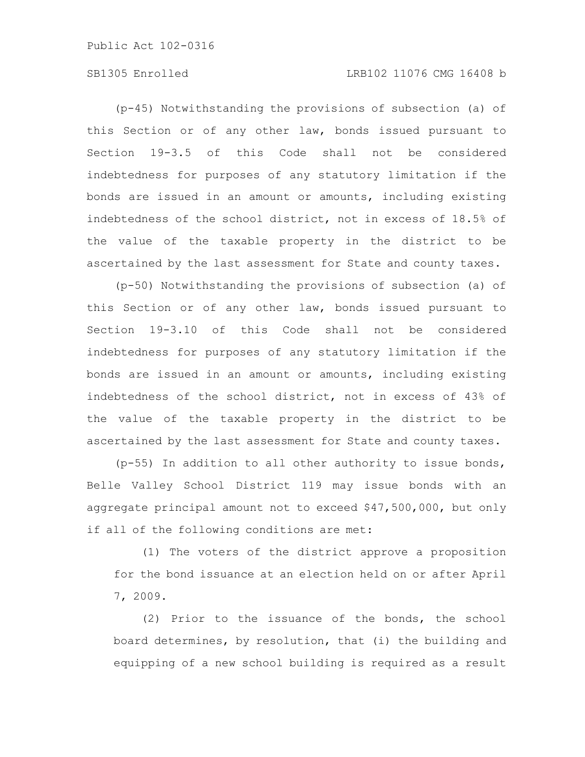# SB1305 Enrolled LRB102 11076 CMG 16408 b

(p-45) Notwithstanding the provisions of subsection (a) of this Section or of any other law, bonds issued pursuant to Section 19-3.5 of this Code shall not be considered indebtedness for purposes of any statutory limitation if the bonds are issued in an amount or amounts, including existing indebtedness of the school district, not in excess of 18.5% of the value of the taxable property in the district to be ascertained by the last assessment for State and county taxes.

(p-50) Notwithstanding the provisions of subsection (a) of this Section or of any other law, bonds issued pursuant to Section 19-3.10 of this Code shall not be considered indebtedness for purposes of any statutory limitation if the bonds are issued in an amount or amounts, including existing indebtedness of the school district, not in excess of 43% of the value of the taxable property in the district to be ascertained by the last assessment for State and county taxes.

(p-55) In addition to all other authority to issue bonds, Belle Valley School District 119 may issue bonds with an aggregate principal amount not to exceed \$47,500,000, but only if all of the following conditions are met:

(1) The voters of the district approve a proposition for the bond issuance at an election held on or after April 7, 2009.

(2) Prior to the issuance of the bonds, the school board determines, by resolution, that (i) the building and equipping of a new school building is required as a result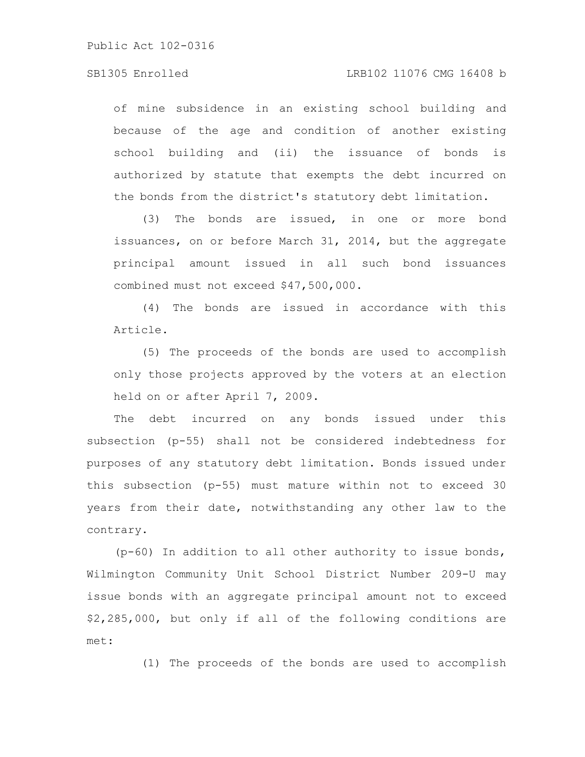### SB1305 Enrolled LRB102 11076 CMG 16408 b

of mine subsidence in an existing school building and because of the age and condition of another existing school building and (ii) the issuance of bonds is authorized by statute that exempts the debt incurred on the bonds from the district's statutory debt limitation.

(3) The bonds are issued, in one or more bond issuances, on or before March 31, 2014, but the aggregate principal amount issued in all such bond issuances combined must not exceed \$47,500,000.

(4) The bonds are issued in accordance with this Article.

(5) The proceeds of the bonds are used to accomplish only those projects approved by the voters at an election held on or after April 7, 2009.

The debt incurred on any bonds issued under this subsection (p-55) shall not be considered indebtedness for purposes of any statutory debt limitation. Bonds issued under this subsection (p-55) must mature within not to exceed 30 years from their date, notwithstanding any other law to the contrary.

(p-60) In addition to all other authority to issue bonds, Wilmington Community Unit School District Number 209-U may issue bonds with an aggregate principal amount not to exceed \$2,285,000, but only if all of the following conditions are met:

(1) The proceeds of the bonds are used to accomplish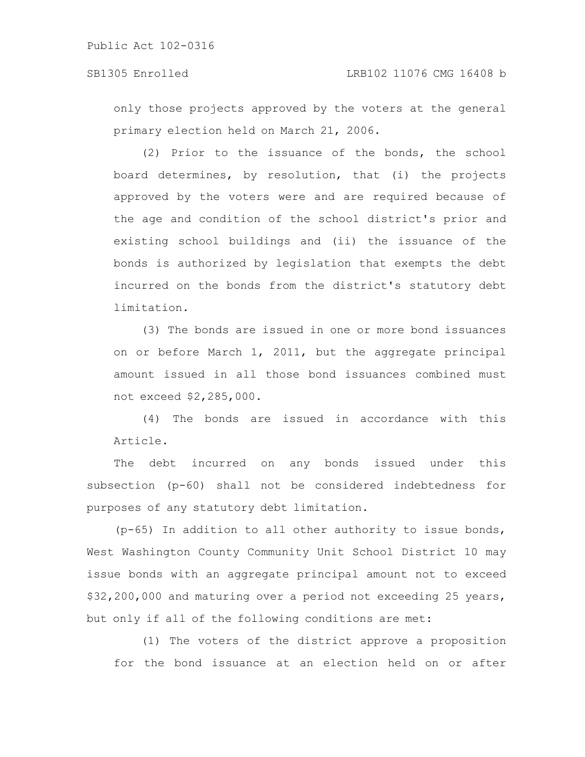only those projects approved by the voters at the general primary election held on March 21, 2006.

(2) Prior to the issuance of the bonds, the school board determines, by resolution, that (i) the projects approved by the voters were and are required because of the age and condition of the school district's prior and existing school buildings and (ii) the issuance of the bonds is authorized by legislation that exempts the debt incurred on the bonds from the district's statutory debt limitation.

(3) The bonds are issued in one or more bond issuances on or before March 1, 2011, but the aggregate principal amount issued in all those bond issuances combined must not exceed \$2,285,000.

(4) The bonds are issued in accordance with this Article.

The debt incurred on any bonds issued under this subsection (p-60) shall not be considered indebtedness for purposes of any statutory debt limitation.

(p-65) In addition to all other authority to issue bonds, West Washington County Community Unit School District 10 may issue bonds with an aggregate principal amount not to exceed \$32,200,000 and maturing over a period not exceeding 25 years, but only if all of the following conditions are met:

(1) The voters of the district approve a proposition for the bond issuance at an election held on or after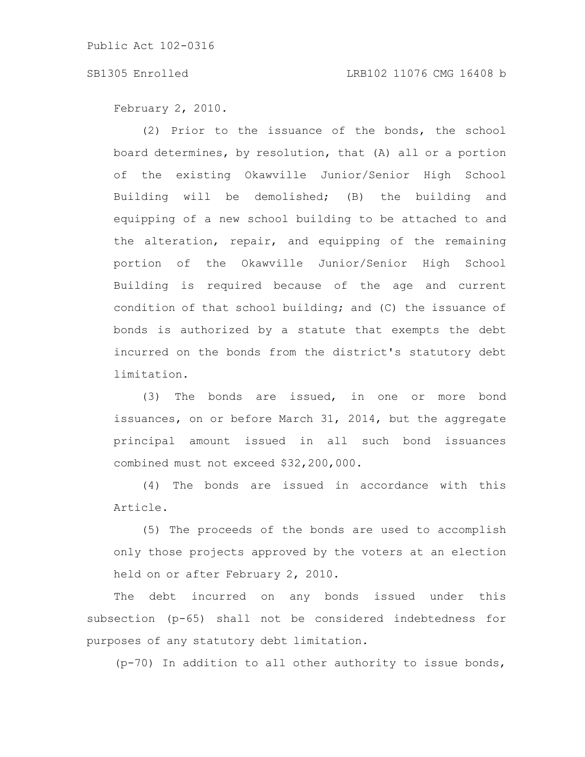#### SB1305 Enrolled LRB102 11076 CMG 16408 b

February 2, 2010.

(2) Prior to the issuance of the bonds, the school board determines, by resolution, that (A) all or a portion of the existing Okawville Junior/Senior High School Building will be demolished; (B) the building and equipping of a new school building to be attached to and the alteration, repair, and equipping of the remaining portion of the Okawville Junior/Senior High School Building is required because of the age and current condition of that school building; and (C) the issuance of bonds is authorized by a statute that exempts the debt incurred on the bonds from the district's statutory debt limitation.

(3) The bonds are issued, in one or more bond issuances, on or before March 31, 2014, but the aggregate principal amount issued in all such bond issuances combined must not exceed \$32,200,000.

(4) The bonds are issued in accordance with this Article.

(5) The proceeds of the bonds are used to accomplish only those projects approved by the voters at an election held on or after February 2, 2010.

The debt incurred on any bonds issued under this subsection (p-65) shall not be considered indebtedness for purposes of any statutory debt limitation.

(p-70) In addition to all other authority to issue bonds,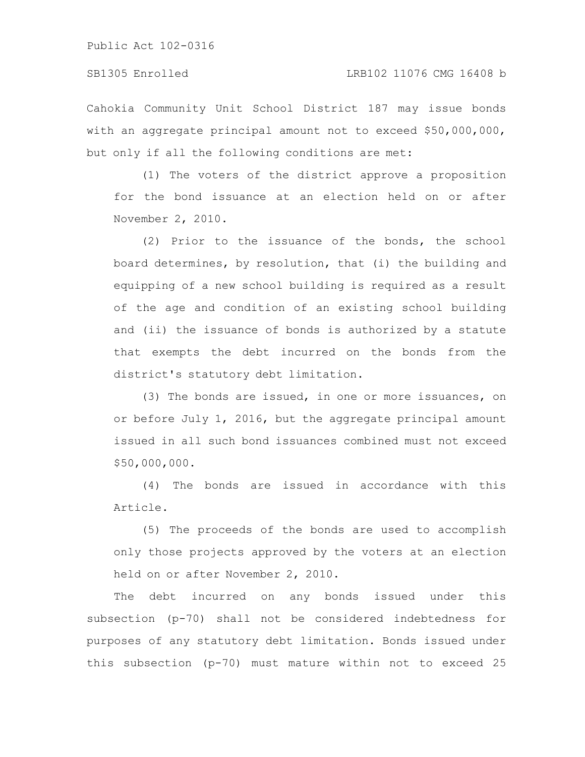### SB1305 Enrolled LRB102 11076 CMG 16408 b

Cahokia Community Unit School District 187 may issue bonds with an aggregate principal amount not to exceed \$50,000,000, but only if all the following conditions are met:

(1) The voters of the district approve a proposition for the bond issuance at an election held on or after November 2, 2010.

(2) Prior to the issuance of the bonds, the school board determines, by resolution, that (i) the building and equipping of a new school building is required as a result of the age and condition of an existing school building and (ii) the issuance of bonds is authorized by a statute that exempts the debt incurred on the bonds from the district's statutory debt limitation.

(3) The bonds are issued, in one or more issuances, on or before July 1, 2016, but the aggregate principal amount issued in all such bond issuances combined must not exceed \$50,000,000.

(4) The bonds are issued in accordance with this Article.

(5) The proceeds of the bonds are used to accomplish only those projects approved by the voters at an election held on or after November 2, 2010.

The debt incurred on any bonds issued under this subsection (p-70) shall not be considered indebtedness for purposes of any statutory debt limitation. Bonds issued under this subsection (p-70) must mature within not to exceed 25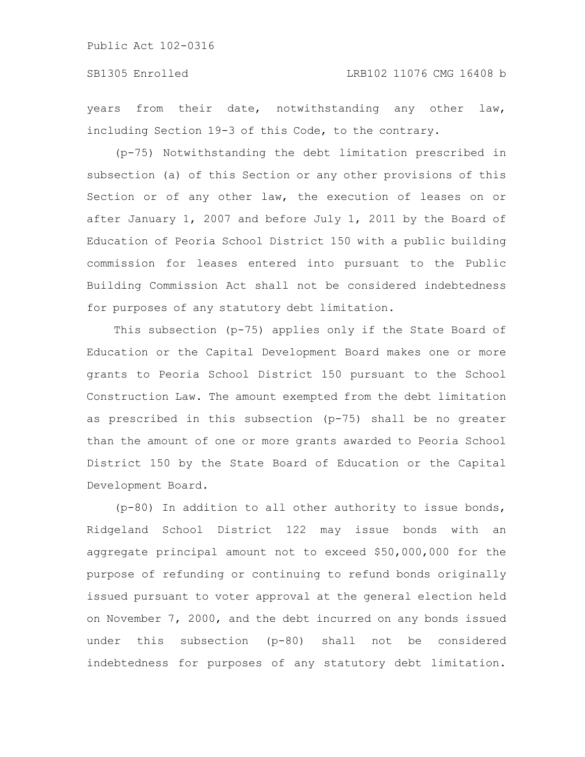### SB1305 Enrolled LRB102 11076 CMG 16408 b

years from their date, notwithstanding any other law, including Section 19-3 of this Code, to the contrary.

(p-75) Notwithstanding the debt limitation prescribed in subsection (a) of this Section or any other provisions of this Section or of any other law, the execution of leases on or after January 1, 2007 and before July 1, 2011 by the Board of Education of Peoria School District 150 with a public building commission for leases entered into pursuant to the Public Building Commission Act shall not be considered indebtedness for purposes of any statutory debt limitation.

This subsection (p-75) applies only if the State Board of Education or the Capital Development Board makes one or more grants to Peoria School District 150 pursuant to the School Construction Law. The amount exempted from the debt limitation as prescribed in this subsection (p-75) shall be no greater than the amount of one or more grants awarded to Peoria School District 150 by the State Board of Education or the Capital Development Board.

(p-80) In addition to all other authority to issue bonds, Ridgeland School District 122 may issue bonds with an aggregate principal amount not to exceed \$50,000,000 for the purpose of refunding or continuing to refund bonds originally issued pursuant to voter approval at the general election held on November 7, 2000, and the debt incurred on any bonds issued under this subsection (p-80) shall not be considered indebtedness for purposes of any statutory debt limitation.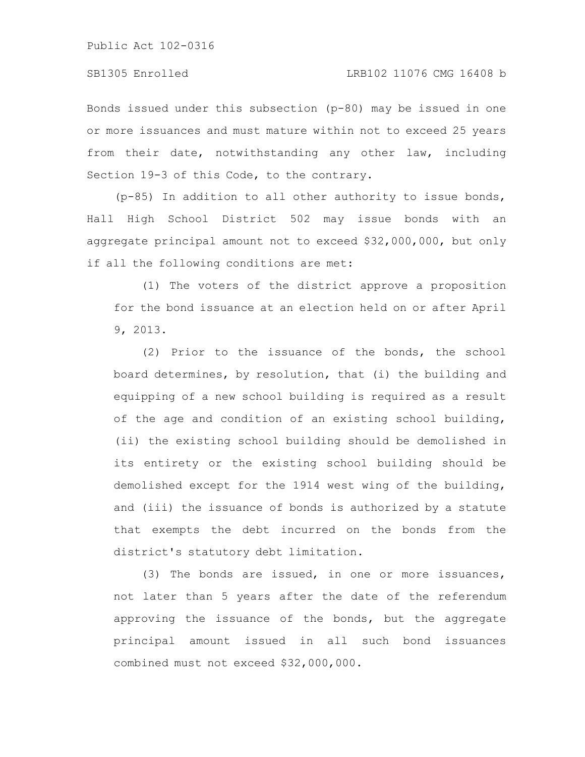Bonds issued under this subsection (p-80) may be issued in one or more issuances and must mature within not to exceed 25 years from their date, notwithstanding any other law, including Section 19-3 of this Code, to the contrary.

(p-85) In addition to all other authority to issue bonds, Hall High School District 502 may issue bonds with an aggregate principal amount not to exceed \$32,000,000, but only if all the following conditions are met:

(1) The voters of the district approve a proposition for the bond issuance at an election held on or after April 9, 2013.

(2) Prior to the issuance of the bonds, the school board determines, by resolution, that (i) the building and equipping of a new school building is required as a result of the age and condition of an existing school building, (ii) the existing school building should be demolished in its entirety or the existing school building should be demolished except for the 1914 west wing of the building, and (iii) the issuance of bonds is authorized by a statute that exempts the debt incurred on the bonds from the district's statutory debt limitation.

(3) The bonds are issued, in one or more issuances, not later than 5 years after the date of the referendum approving the issuance of the bonds, but the aggregate principal amount issued in all such bond issuances combined must not exceed \$32,000,000.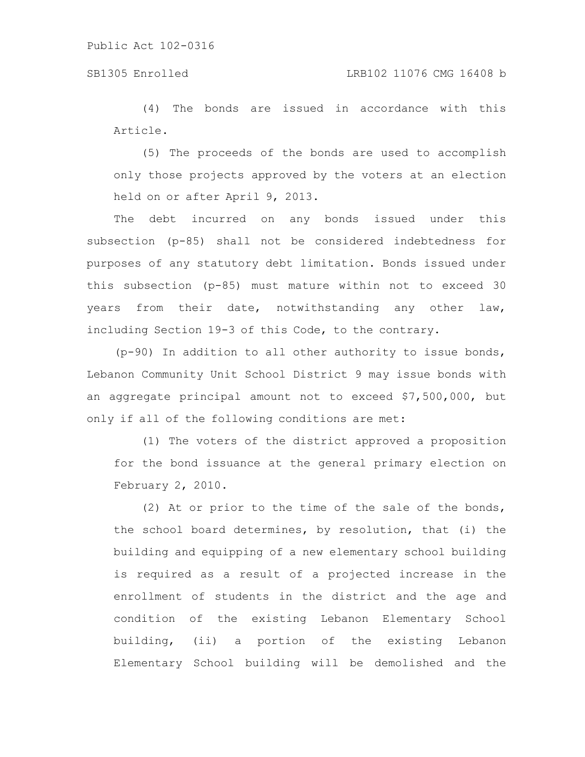# SB1305 Enrolled LRB102 11076 CMG 16408 b

(4) The bonds are issued in accordance with this Article.

(5) The proceeds of the bonds are used to accomplish only those projects approved by the voters at an election held on or after April 9, 2013.

The debt incurred on any bonds issued under this subsection (p-85) shall not be considered indebtedness for purposes of any statutory debt limitation. Bonds issued under this subsection (p-85) must mature within not to exceed 30 years from their date, notwithstanding any other law, including Section 19-3 of this Code, to the contrary.

(p-90) In addition to all other authority to issue bonds, Lebanon Community Unit School District 9 may issue bonds with an aggregate principal amount not to exceed \$7,500,000, but only if all of the following conditions are met:

(1) The voters of the district approved a proposition for the bond issuance at the general primary election on February 2, 2010.

(2) At or prior to the time of the sale of the bonds, the school board determines, by resolution, that (i) the building and equipping of a new elementary school building is required as a result of a projected increase in the enrollment of students in the district and the age and condition of the existing Lebanon Elementary School building, (ii) a portion of the existing Lebanon Elementary School building will be demolished and the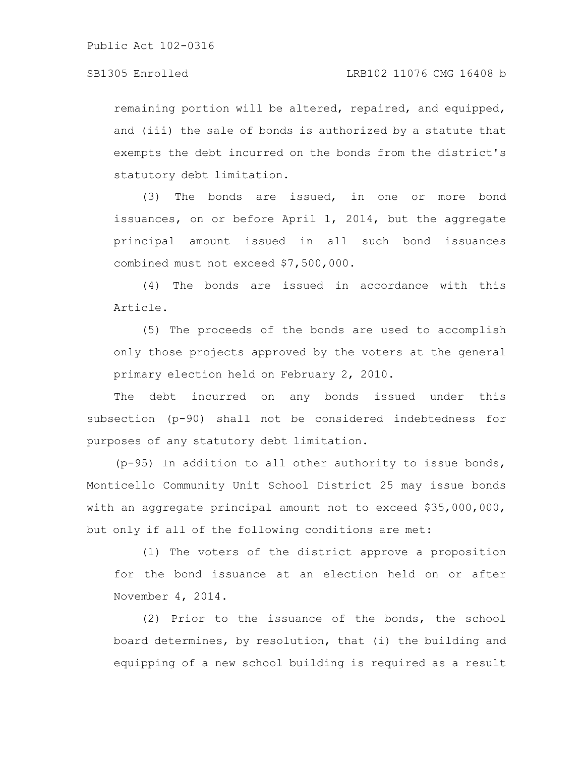remaining portion will be altered, repaired, and equipped, and (iii) the sale of bonds is authorized by a statute that exempts the debt incurred on the bonds from the district's statutory debt limitation.

(3) The bonds are issued, in one or more bond issuances, on or before April 1, 2014, but the aggregate principal amount issued in all such bond issuances combined must not exceed \$7,500,000.

(4) The bonds are issued in accordance with this Article.

(5) The proceeds of the bonds are used to accomplish only those projects approved by the voters at the general primary election held on February 2, 2010.

The debt incurred on any bonds issued under this subsection (p-90) shall not be considered indebtedness for purposes of any statutory debt limitation.

(p-95) In addition to all other authority to issue bonds, Monticello Community Unit School District 25 may issue bonds with an aggregate principal amount not to exceed \$35,000,000, but only if all of the following conditions are met:

(1) The voters of the district approve a proposition for the bond issuance at an election held on or after November 4, 2014.

(2) Prior to the issuance of the bonds, the school board determines, by resolution, that (i) the building and equipping of a new school building is required as a result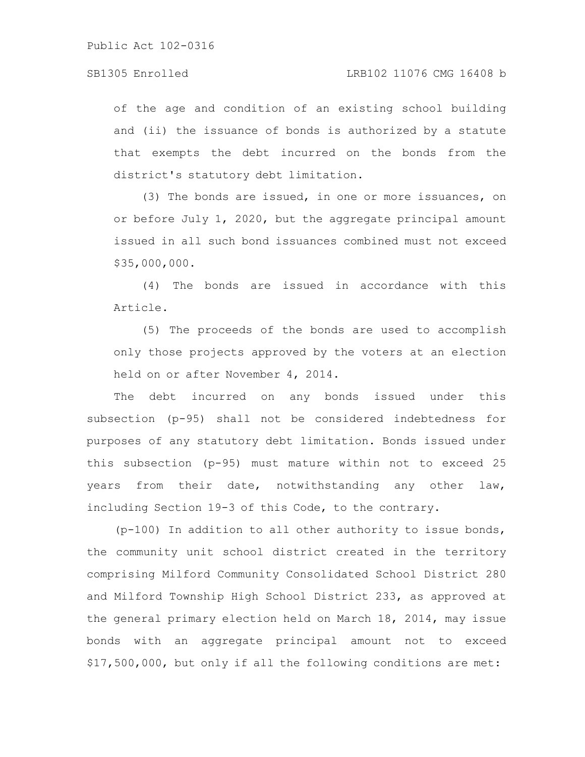of the age and condition of an existing school building and (ii) the issuance of bonds is authorized by a statute that exempts the debt incurred on the bonds from the district's statutory debt limitation.

(3) The bonds are issued, in one or more issuances, on or before July 1, 2020, but the aggregate principal amount issued in all such bond issuances combined must not exceed \$35,000,000.

(4) The bonds are issued in accordance with this Article.

(5) The proceeds of the bonds are used to accomplish only those projects approved by the voters at an election held on or after November 4, 2014.

The debt incurred on any bonds issued under this subsection (p-95) shall not be considered indebtedness for purposes of any statutory debt limitation. Bonds issued under this subsection (p-95) must mature within not to exceed 25 years from their date, notwithstanding any other law, including Section 19-3 of this Code, to the contrary.

(p-100) In addition to all other authority to issue bonds, the community unit school district created in the territory comprising Milford Community Consolidated School District 280 and Milford Township High School District 233, as approved at the general primary election held on March 18, 2014, may issue bonds with an aggregate principal amount not to exceed \$17,500,000, but only if all the following conditions are met: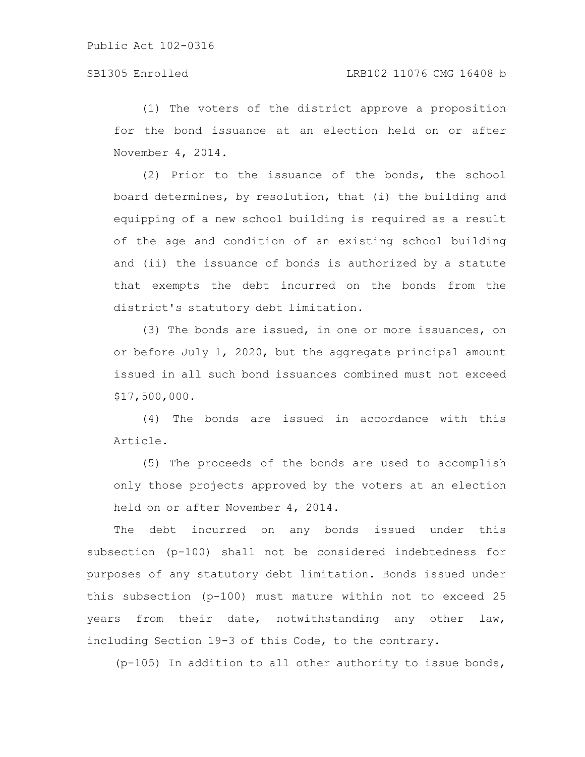(1) The voters of the district approve a proposition for the bond issuance at an election held on or after November 4, 2014.

(2) Prior to the issuance of the bonds, the school board determines, by resolution, that (i) the building and equipping of a new school building is required as a result of the age and condition of an existing school building and (ii) the issuance of bonds is authorized by a statute that exempts the debt incurred on the bonds from the district's statutory debt limitation.

(3) The bonds are issued, in one or more issuances, on or before July 1, 2020, but the aggregate principal amount issued in all such bond issuances combined must not exceed \$17,500,000.

(4) The bonds are issued in accordance with this Article.

(5) The proceeds of the bonds are used to accomplish only those projects approved by the voters at an election held on or after November 4, 2014.

The debt incurred on any bonds issued under this subsection (p-100) shall not be considered indebtedness for purposes of any statutory debt limitation. Bonds issued under this subsection (p-100) must mature within not to exceed 25 years from their date, notwithstanding any other law, including Section 19-3 of this Code, to the contrary.

(p-105) In addition to all other authority to issue bonds,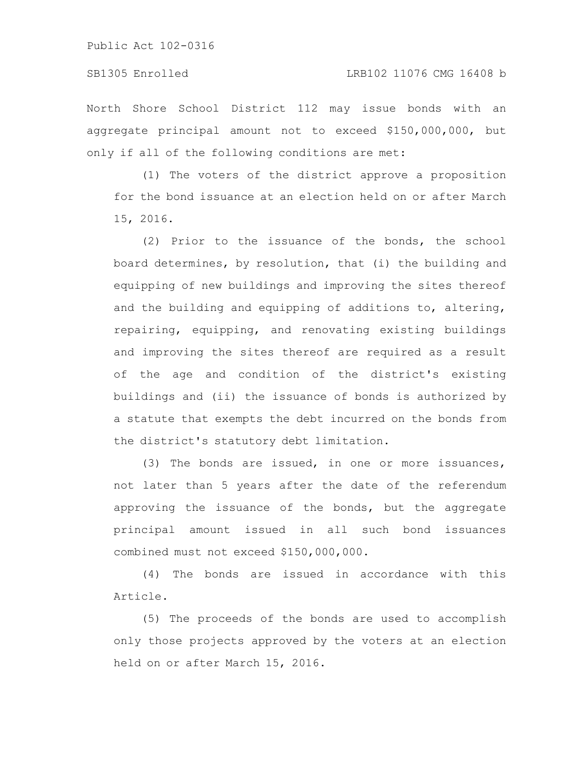North Shore School District 112 may issue bonds with an aggregate principal amount not to exceed \$150,000,000, but only if all of the following conditions are met:

(1) The voters of the district approve a proposition for the bond issuance at an election held on or after March 15, 2016.

(2) Prior to the issuance of the bonds, the school board determines, by resolution, that (i) the building and equipping of new buildings and improving the sites thereof and the building and equipping of additions to, altering, repairing, equipping, and renovating existing buildings and improving the sites thereof are required as a result of the age and condition of the district's existing buildings and (ii) the issuance of bonds is authorized by a statute that exempts the debt incurred on the bonds from the district's statutory debt limitation.

(3) The bonds are issued, in one or more issuances, not later than 5 years after the date of the referendum approving the issuance of the bonds, but the aggregate principal amount issued in all such bond issuances combined must not exceed \$150,000,000.

(4) The bonds are issued in accordance with this Article.

(5) The proceeds of the bonds are used to accomplish only those projects approved by the voters at an election held on or after March 15, 2016.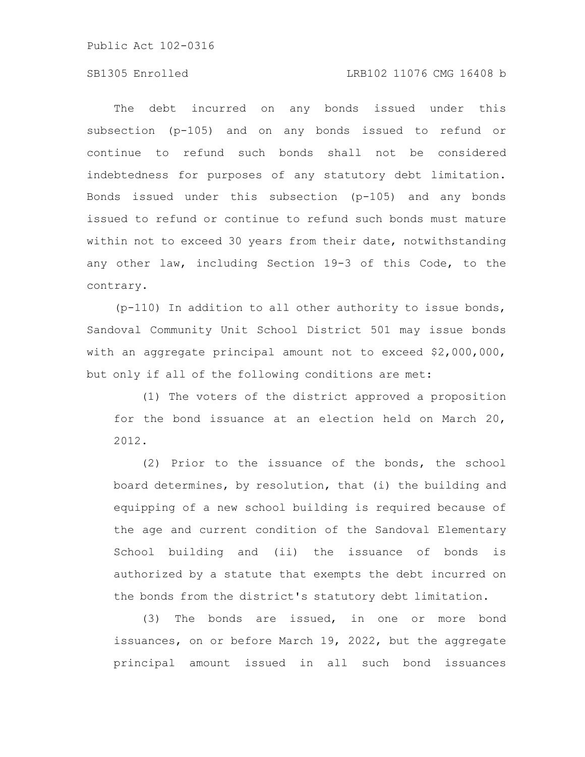### SB1305 Enrolled LRB102 11076 CMG 16408 b

The debt incurred on any bonds issued under this subsection (p-105) and on any bonds issued to refund or continue to refund such bonds shall not be considered indebtedness for purposes of any statutory debt limitation. Bonds issued under this subsection (p-105) and any bonds issued to refund or continue to refund such bonds must mature within not to exceed 30 years from their date, notwithstanding any other law, including Section 19-3 of this Code, to the contrary.

(p-110) In addition to all other authority to issue bonds, Sandoval Community Unit School District 501 may issue bonds with an aggregate principal amount not to exceed \$2,000,000, but only if all of the following conditions are met:

(1) The voters of the district approved a proposition for the bond issuance at an election held on March 20, 2012.

(2) Prior to the issuance of the bonds, the school board determines, by resolution, that (i) the building and equipping of a new school building is required because of the age and current condition of the Sandoval Elementary School building and (ii) the issuance of bonds is authorized by a statute that exempts the debt incurred on the bonds from the district's statutory debt limitation.

(3) The bonds are issued, in one or more bond issuances, on or before March 19, 2022, but the aggregate principal amount issued in all such bond issuances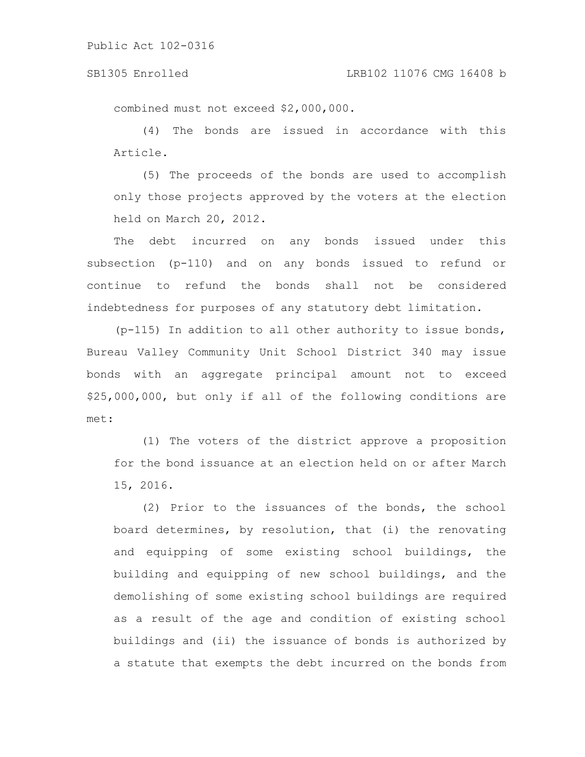#### SB1305 Enrolled LRB102 11076 CMG 16408 b

combined must not exceed \$2,000,000.

(4) The bonds are issued in accordance with this Article.

(5) The proceeds of the bonds are used to accomplish only those projects approved by the voters at the election held on March 20, 2012.

The debt incurred on any bonds issued under this subsection (p-110) and on any bonds issued to refund or continue to refund the bonds shall not be considered indebtedness for purposes of any statutory debt limitation.

(p-115) In addition to all other authority to issue bonds, Bureau Valley Community Unit School District 340 may issue bonds with an aggregate principal amount not to exceed \$25,000,000, but only if all of the following conditions are met:

(1) The voters of the district approve a proposition for the bond issuance at an election held on or after March 15, 2016.

(2) Prior to the issuances of the bonds, the school board determines, by resolution, that (i) the renovating and equipping of some existing school buildings, the building and equipping of new school buildings, and the demolishing of some existing school buildings are required as a result of the age and condition of existing school buildings and (ii) the issuance of bonds is authorized by a statute that exempts the debt incurred on the bonds from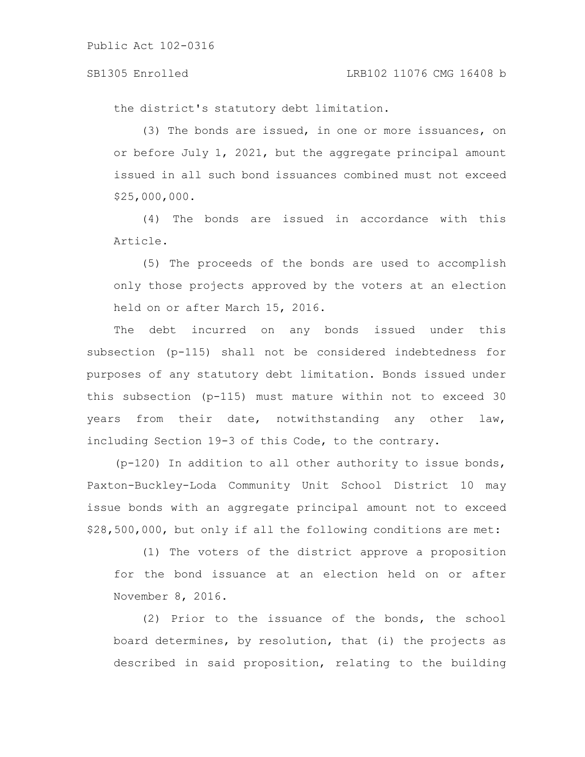the district's statutory debt limitation.

(3) The bonds are issued, in one or more issuances, on or before July 1, 2021, but the aggregate principal amount issued in all such bond issuances combined must not exceed \$25,000,000.

(4) The bonds are issued in accordance with this Article.

(5) The proceeds of the bonds are used to accomplish only those projects approved by the voters at an election held on or after March 15, 2016.

The debt incurred on any bonds issued under this subsection (p-115) shall not be considered indebtedness for purposes of any statutory debt limitation. Bonds issued under this subsection (p-115) must mature within not to exceed 30 years from their date, notwithstanding any other law, including Section 19-3 of this Code, to the contrary.

(p-120) In addition to all other authority to issue bonds, Paxton-Buckley-Loda Community Unit School District 10 may issue bonds with an aggregate principal amount not to exceed \$28,500,000, but only if all the following conditions are met:

(1) The voters of the district approve a proposition for the bond issuance at an election held on or after November 8, 2016.

(2) Prior to the issuance of the bonds, the school board determines, by resolution, that (i) the projects as described in said proposition, relating to the building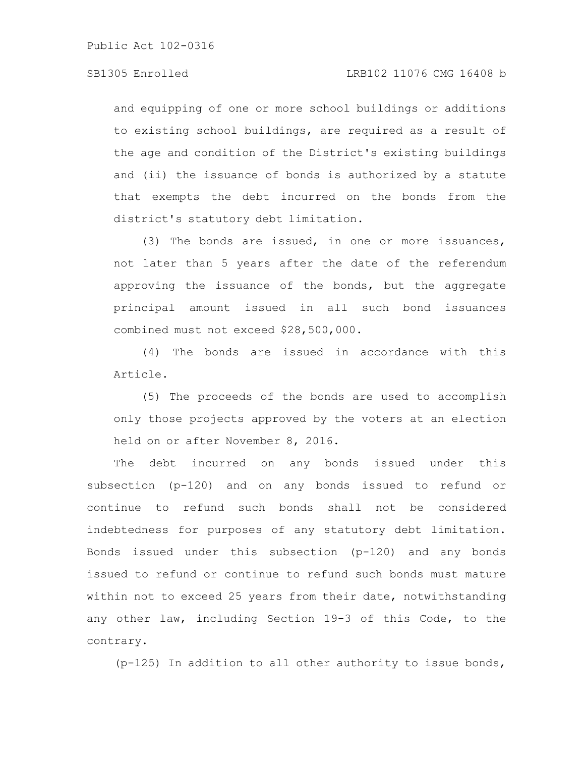and equipping of one or more school buildings or additions to existing school buildings, are required as a result of the age and condition of the District's existing buildings and (ii) the issuance of bonds is authorized by a statute that exempts the debt incurred on the bonds from the district's statutory debt limitation.

(3) The bonds are issued, in one or more issuances, not later than 5 years after the date of the referendum approving the issuance of the bonds, but the aggregate principal amount issued in all such bond issuances combined must not exceed \$28,500,000.

(4) The bonds are issued in accordance with this Article.

(5) The proceeds of the bonds are used to accomplish only those projects approved by the voters at an election held on or after November 8, 2016.

The debt incurred on any bonds issued under this subsection (p-120) and on any bonds issued to refund or continue to refund such bonds shall not be considered indebtedness for purposes of any statutory debt limitation. Bonds issued under this subsection (p-120) and any bonds issued to refund or continue to refund such bonds must mature within not to exceed 25 years from their date, notwithstanding any other law, including Section 19-3 of this Code, to the contrary.

(p-125) In addition to all other authority to issue bonds,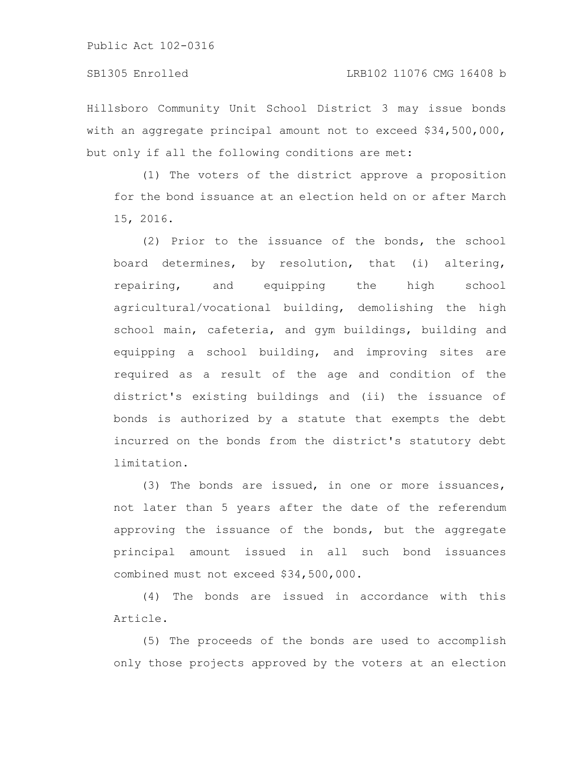Hillsboro Community Unit School District 3 may issue bonds with an aggregate principal amount not to exceed \$34,500,000, but only if all the following conditions are met:

(1) The voters of the district approve a proposition for the bond issuance at an election held on or after March 15, 2016.

(2) Prior to the issuance of the bonds, the school board determines, by resolution, that (i) altering, repairing, and equipping the high school agricultural/vocational building, demolishing the high school main, cafeteria, and gym buildings, building and equipping a school building, and improving sites are required as a result of the age and condition of the district's existing buildings and (ii) the issuance of bonds is authorized by a statute that exempts the debt incurred on the bonds from the district's statutory debt limitation.

(3) The bonds are issued, in one or more issuances, not later than 5 years after the date of the referendum approving the issuance of the bonds, but the aggregate principal amount issued in all such bond issuances combined must not exceed \$34,500,000.

(4) The bonds are issued in accordance with this Article.

(5) The proceeds of the bonds are used to accomplish only those projects approved by the voters at an election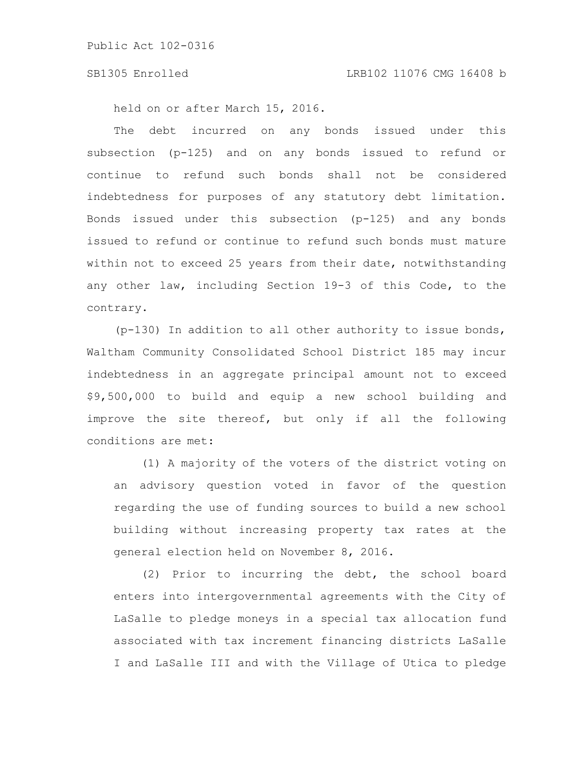held on or after March 15, 2016.

The debt incurred on any bonds issued under this subsection (p-125) and on any bonds issued to refund or continue to refund such bonds shall not be considered indebtedness for purposes of any statutory debt limitation. Bonds issued under this subsection (p-125) and any bonds issued to refund or continue to refund such bonds must mature within not to exceed 25 years from their date, notwithstanding any other law, including Section 19-3 of this Code, to the contrary.

(p-130) In addition to all other authority to issue bonds, Waltham Community Consolidated School District 185 may incur indebtedness in an aggregate principal amount not to exceed \$9,500,000 to build and equip a new school building and improve the site thereof, but only if all the following conditions are met:

(1) A majority of the voters of the district voting on an advisory question voted in favor of the question regarding the use of funding sources to build a new school building without increasing property tax rates at the general election held on November 8, 2016.

(2) Prior to incurring the debt, the school board enters into intergovernmental agreements with the City of LaSalle to pledge moneys in a special tax allocation fund associated with tax increment financing districts LaSalle I and LaSalle III and with the Village of Utica to pledge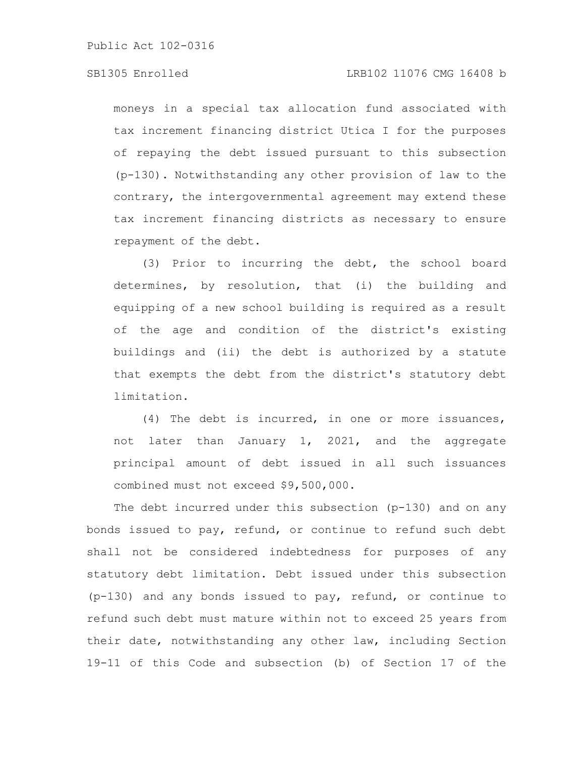moneys in a special tax allocation fund associated with tax increment financing district Utica I for the purposes of repaying the debt issued pursuant to this subsection (p-130). Notwithstanding any other provision of law to the contrary, the intergovernmental agreement may extend these tax increment financing districts as necessary to ensure repayment of the debt.

(3) Prior to incurring the debt, the school board determines, by resolution, that (i) the building and equipping of a new school building is required as a result of the age and condition of the district's existing buildings and (ii) the debt is authorized by a statute that exempts the debt from the district's statutory debt limitation.

(4) The debt is incurred, in one or more issuances, not later than January 1, 2021, and the aggregate principal amount of debt issued in all such issuances combined must not exceed \$9,500,000.

The debt incurred under this subsection (p-130) and on any bonds issued to pay, refund, or continue to refund such debt shall not be considered indebtedness for purposes of any statutory debt limitation. Debt issued under this subsection (p-130) and any bonds issued to pay, refund, or continue to refund such debt must mature within not to exceed 25 years from their date, notwithstanding any other law, including Section 19-11 of this Code and subsection (b) of Section 17 of the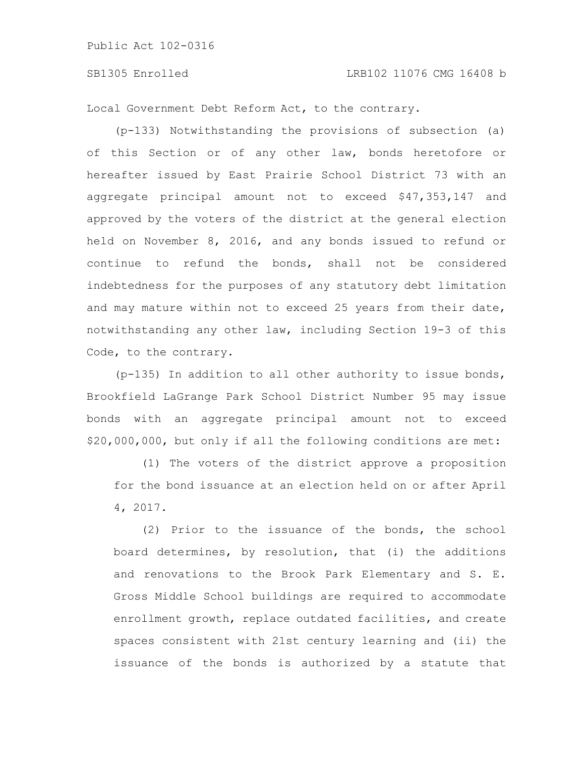Local Government Debt Reform Act, to the contrary.

(p-133) Notwithstanding the provisions of subsection (a) of this Section or of any other law, bonds heretofore or hereafter issued by East Prairie School District 73 with an aggregate principal amount not to exceed \$47,353,147 and approved by the voters of the district at the general election held on November 8, 2016, and any bonds issued to refund or continue to refund the bonds, shall not be considered indebtedness for the purposes of any statutory debt limitation and may mature within not to exceed 25 years from their date, notwithstanding any other law, including Section 19-3 of this Code, to the contrary.

(p-135) In addition to all other authority to issue bonds, Brookfield LaGrange Park School District Number 95 may issue bonds with an aggregate principal amount not to exceed \$20,000,000, but only if all the following conditions are met:

(1) The voters of the district approve a proposition for the bond issuance at an election held on or after April 4, 2017.

(2) Prior to the issuance of the bonds, the school board determines, by resolution, that (i) the additions and renovations to the Brook Park Elementary and S. E. Gross Middle School buildings are required to accommodate enrollment growth, replace outdated facilities, and create spaces consistent with 21st century learning and (ii) the issuance of the bonds is authorized by a statute that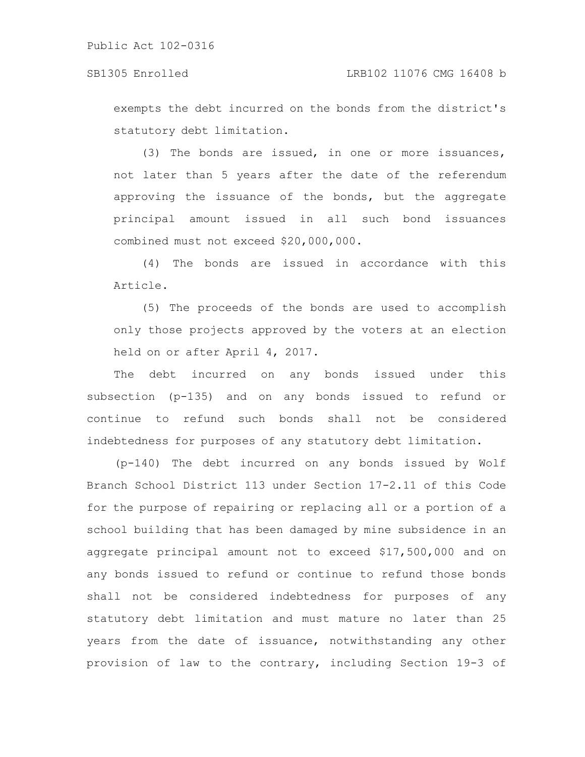exempts the debt incurred on the bonds from the district's statutory debt limitation.

(3) The bonds are issued, in one or more issuances, not later than 5 years after the date of the referendum approving the issuance of the bonds, but the aggregate principal amount issued in all such bond issuances combined must not exceed \$20,000,000.

(4) The bonds are issued in accordance with this Article.

(5) The proceeds of the bonds are used to accomplish only those projects approved by the voters at an election held on or after April 4, 2017.

The debt incurred on any bonds issued under this subsection (p-135) and on any bonds issued to refund or continue to refund such bonds shall not be considered indebtedness for purposes of any statutory debt limitation.

(p-140) The debt incurred on any bonds issued by Wolf Branch School District 113 under Section 17-2.11 of this Code for the purpose of repairing or replacing all or a portion of a school building that has been damaged by mine subsidence in an aggregate principal amount not to exceed \$17,500,000 and on any bonds issued to refund or continue to refund those bonds shall not be considered indebtedness for purposes of any statutory debt limitation and must mature no later than 25 years from the date of issuance, notwithstanding any other provision of law to the contrary, including Section 19-3 of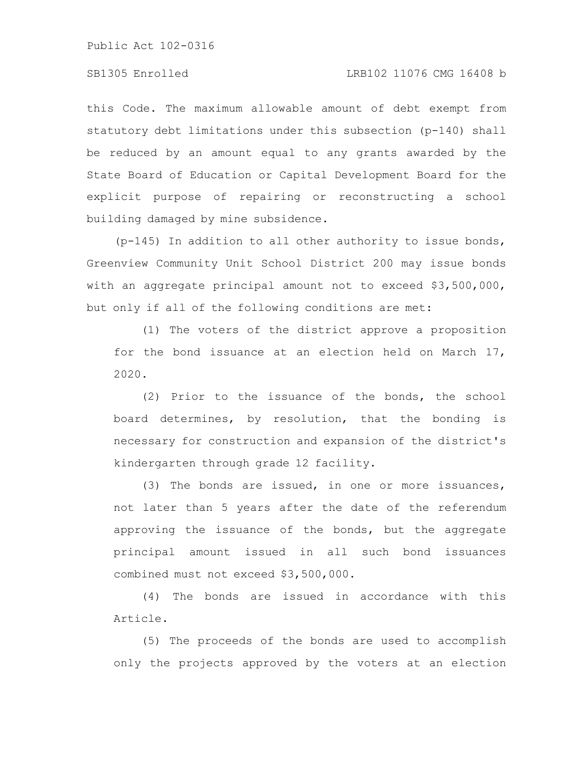this Code. The maximum allowable amount of debt exempt from statutory debt limitations under this subsection (p-140) shall be reduced by an amount equal to any grants awarded by the State Board of Education or Capital Development Board for the explicit purpose of repairing or reconstructing a school building damaged by mine subsidence.

(p-145) In addition to all other authority to issue bonds, Greenview Community Unit School District 200 may issue bonds with an aggregate principal amount not to exceed \$3,500,000, but only if all of the following conditions are met:

(1) The voters of the district approve a proposition for the bond issuance at an election held on March 17, 2020.

(2) Prior to the issuance of the bonds, the school board determines, by resolution, that the bonding is necessary for construction and expansion of the district's kindergarten through grade 12 facility.

(3) The bonds are issued, in one or more issuances, not later than 5 years after the date of the referendum approving the issuance of the bonds, but the aggregate principal amount issued in all such bond issuances combined must not exceed \$3,500,000.

(4) The bonds are issued in accordance with this Article.

(5) The proceeds of the bonds are used to accomplish only the projects approved by the voters at an election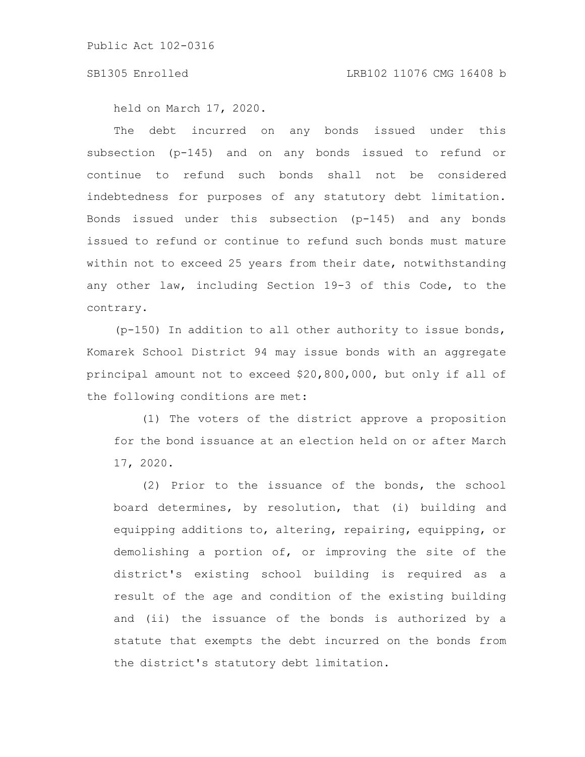held on March 17, 2020.

The debt incurred on any bonds issued under this subsection (p-145) and on any bonds issued to refund or continue to refund such bonds shall not be considered indebtedness for purposes of any statutory debt limitation. Bonds issued under this subsection (p-145) and any bonds issued to refund or continue to refund such bonds must mature within not to exceed 25 years from their date, notwithstanding any other law, including Section 19-3 of this Code, to the contrary.

(p-150) In addition to all other authority to issue bonds, Komarek School District 94 may issue bonds with an aggregate principal amount not to exceed \$20,800,000, but only if all of the following conditions are met:

(1) The voters of the district approve a proposition for the bond issuance at an election held on or after March 17, 2020.

(2) Prior to the issuance of the bonds, the school board determines, by resolution, that (i) building and equipping additions to, altering, repairing, equipping, or demolishing a portion of, or improving the site of the district's existing school building is required as a result of the age and condition of the existing building and (ii) the issuance of the bonds is authorized by a statute that exempts the debt incurred on the bonds from the district's statutory debt limitation.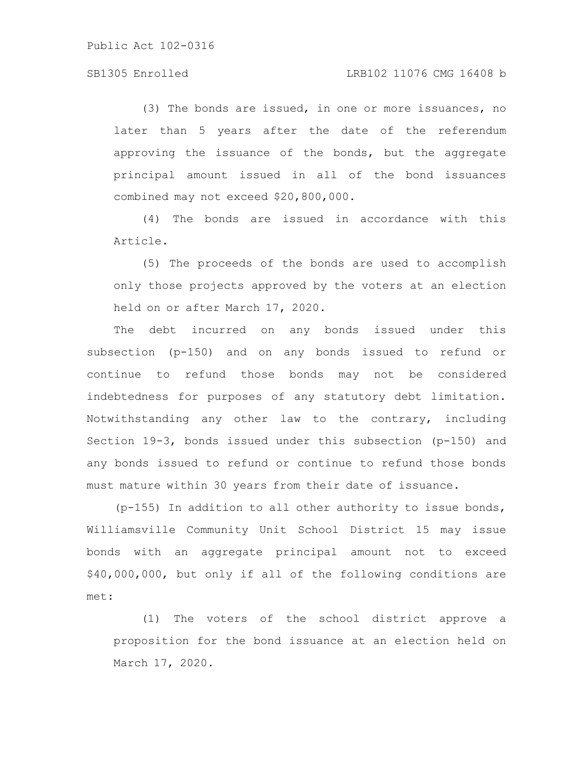#### SB1305 Enrolled LRB102 11076 CMG 16408 b

(3) The bonds are issued, in one or more issuances, no later than 5 years after the date of the referendum approving the issuance of the bonds, but the aggregate principal amount issued in all of the bond issuances combined may not exceed \$20,800,000.

(4) The bonds are issued in accordance with this Article.

(5) The proceeds of the bonds are used to accomplish only those projects approved by the voters at an election held on or after March 17, 2020.

The debt incurred on any bonds issued under this subsection (p-150) and on any bonds issued to refund or continue to refund those bonds may not be considered indebtedness for purposes of any statutory debt limitation. Notwithstanding any other law to the contrary, including Section 19-3, bonds issued under this subsection (p-150) and any bonds issued to refund or continue to refund those bonds must mature within 30 years from their date of issuance.

(p-155) In addition to all other authority to issue bonds, Williamsville Community Unit School District 15 may issue bonds with an aggregate principal amount not to exceed \$40,000,000, but only if all of the following conditions are met:

(1) The voters of the school district approve a proposition for the bond issuance at an election held on March 17, 2020.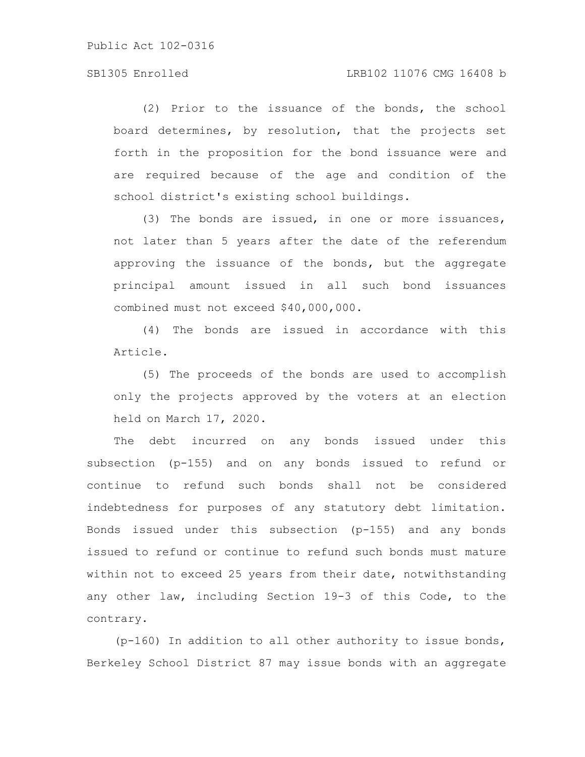(2) Prior to the issuance of the bonds, the school board determines, by resolution, that the projects set forth in the proposition for the bond issuance were and are required because of the age and condition of the school district's existing school buildings.

(3) The bonds are issued, in one or more issuances, not later than 5 years after the date of the referendum approving the issuance of the bonds, but the aggregate principal amount issued in all such bond issuances combined must not exceed \$40,000,000.

(4) The bonds are issued in accordance with this Article.

(5) The proceeds of the bonds are used to accomplish only the projects approved by the voters at an election held on March 17, 2020.

The debt incurred on any bonds issued under this subsection (p-155) and on any bonds issued to refund or continue to refund such bonds shall not be considered indebtedness for purposes of any statutory debt limitation. Bonds issued under this subsection (p-155) and any bonds issued to refund or continue to refund such bonds must mature within not to exceed 25 years from their date, notwithstanding any other law, including Section 19-3 of this Code, to the contrary.

(p-160) In addition to all other authority to issue bonds, Berkeley School District 87 may issue bonds with an aggregate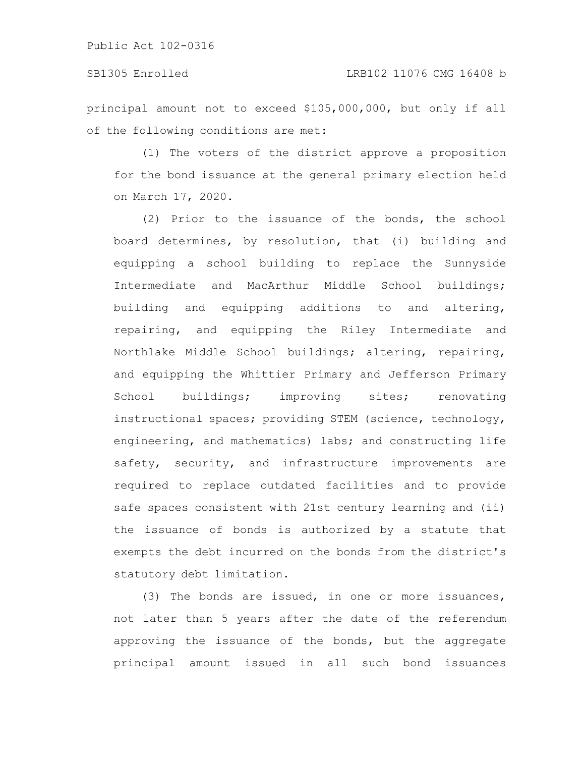principal amount not to exceed \$105,000,000, but only if all of the following conditions are met:

(1) The voters of the district approve a proposition for the bond issuance at the general primary election held on March 17, 2020.

(2) Prior to the issuance of the bonds, the school board determines, by resolution, that (i) building and equipping a school building to replace the Sunnyside Intermediate and MacArthur Middle School buildings; building and equipping additions to and altering, repairing, and equipping the Riley Intermediate and Northlake Middle School buildings; altering, repairing, and equipping the Whittier Primary and Jefferson Primary School buildings; improving sites; renovating instructional spaces; providing STEM (science, technology, engineering, and mathematics) labs; and constructing life safety, security, and infrastructure improvements are required to replace outdated facilities and to provide safe spaces consistent with 21st century learning and (ii) the issuance of bonds is authorized by a statute that exempts the debt incurred on the bonds from the district's statutory debt limitation.

(3) The bonds are issued, in one or more issuances, not later than 5 years after the date of the referendum approving the issuance of the bonds, but the aggregate principal amount issued in all such bond issuances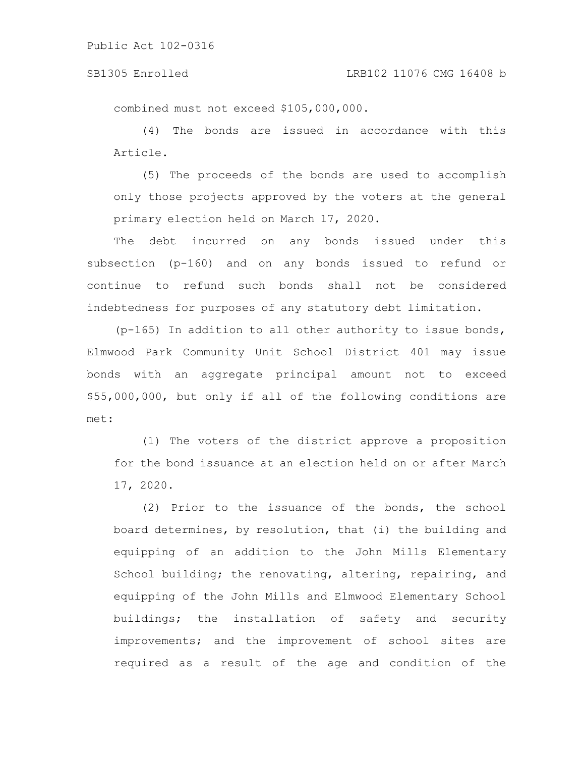#### SB1305 Enrolled LRB102 11076 CMG 16408 b

combined must not exceed \$105,000,000.

(4) The bonds are issued in accordance with this Article.

(5) The proceeds of the bonds are used to accomplish only those projects approved by the voters at the general primary election held on March 17, 2020.

The debt incurred on any bonds issued under this subsection (p-160) and on any bonds issued to refund or continue to refund such bonds shall not be considered indebtedness for purposes of any statutory debt limitation.

 $(p-165)$  In addition to all other authority to issue bonds, Elmwood Park Community Unit School District 401 may issue bonds with an aggregate principal amount not to exceed \$55,000,000, but only if all of the following conditions are met:

(1) The voters of the district approve a proposition for the bond issuance at an election held on or after March 17, 2020.

(2) Prior to the issuance of the bonds, the school board determines, by resolution, that (i) the building and equipping of an addition to the John Mills Elementary School building; the renovating, altering, repairing, and equipping of the John Mills and Elmwood Elementary School buildings; the installation of safety and security improvements; and the improvement of school sites are required as a result of the age and condition of the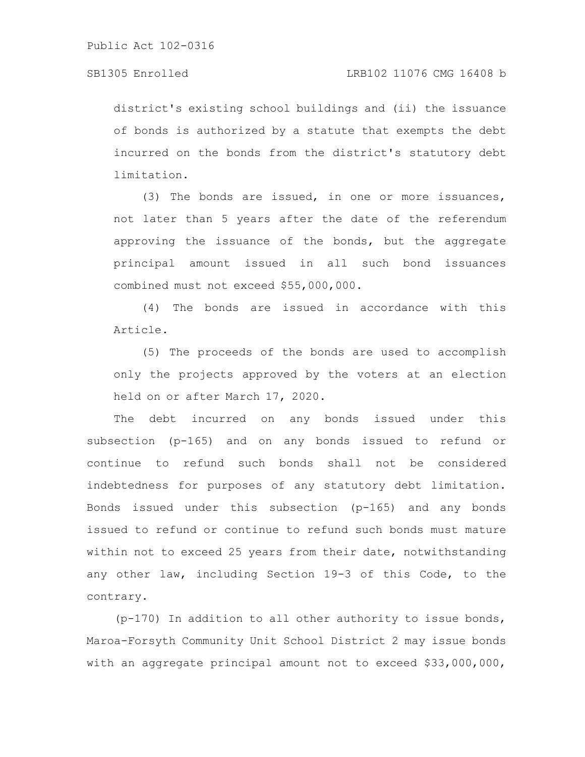district's existing school buildings and (ii) the issuance of bonds is authorized by a statute that exempts the debt incurred on the bonds from the district's statutory debt limitation.

(3) The bonds are issued, in one or more issuances, not later than 5 years after the date of the referendum approving the issuance of the bonds, but the aggregate principal amount issued in all such bond issuances combined must not exceed \$55,000,000.

(4) The bonds are issued in accordance with this Article.

(5) The proceeds of the bonds are used to accomplish only the projects approved by the voters at an election held on or after March 17, 2020.

The debt incurred on any bonds issued under this subsection (p-165) and on any bonds issued to refund or continue to refund such bonds shall not be considered indebtedness for purposes of any statutory debt limitation. Bonds issued under this subsection (p-165) and any bonds issued to refund or continue to refund such bonds must mature within not to exceed 25 years from their date, notwithstanding any other law, including Section 19-3 of this Code, to the contrary.

(p-170) In addition to all other authority to issue bonds, Maroa-Forsyth Community Unit School District 2 may issue bonds with an aggregate principal amount not to exceed \$33,000,000,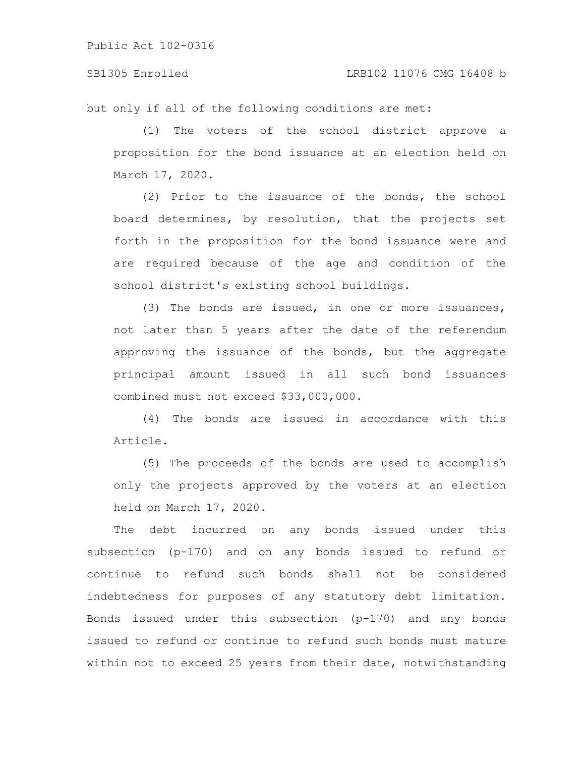SB1305 Enrolled LRB102 11076 CMG 16408 b

but only if all of the following conditions are met:

(1) The voters of the school district approve a proposition for the bond issuance at an election held on March 17, 2020.

(2) Prior to the issuance of the bonds, the school board determines, by resolution, that the projects set forth in the proposition for the bond issuance were and are required because of the age and condition of the school district's existing school buildings.

(3) The bonds are issued, in one or more issuances, not later than 5 years after the date of the referendum approving the issuance of the bonds, but the aggregate principal amount issued in all such bond issuances combined must not exceed \$33,000,000.

(4) The bonds are issued in accordance with this Article.

(5) The proceeds of the bonds are used to accomplish only the projects approved by the voters at an election held on March 17, 2020.

The debt incurred on any bonds issued under this subsection (p-170) and on any bonds issued to refund or continue to refund such bonds shall not be considered indebtedness for purposes of any statutory debt limitation. Bonds issued under this subsection (p-170) and any bonds issued to refund or continue to refund such bonds must mature within not to exceed 25 years from their date, notwithstanding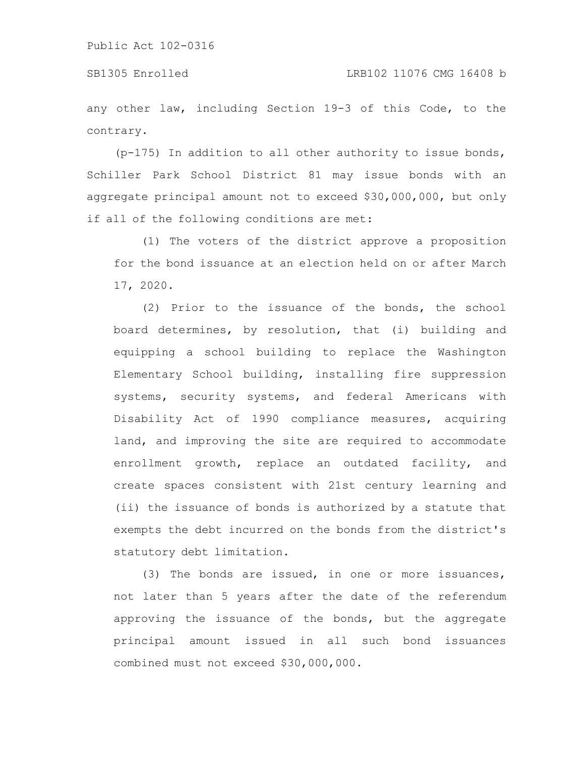any other law, including Section 19-3 of this Code, to the contrary.

(p-175) In addition to all other authority to issue bonds, Schiller Park School District 81 may issue bonds with an aggregate principal amount not to exceed \$30,000,000, but only if all of the following conditions are met:

(1) The voters of the district approve a proposition for the bond issuance at an election held on or after March 17, 2020.

(2) Prior to the issuance of the bonds, the school board determines, by resolution, that (i) building and equipping a school building to replace the Washington Elementary School building, installing fire suppression systems, security systems, and federal Americans with Disability Act of 1990 compliance measures, acquiring land, and improving the site are required to accommodate enrollment growth, replace an outdated facility, and create spaces consistent with 21st century learning and (ii) the issuance of bonds is authorized by a statute that exempts the debt incurred on the bonds from the district's statutory debt limitation.

(3) The bonds are issued, in one or more issuances, not later than 5 years after the date of the referendum approving the issuance of the bonds, but the aggregate principal amount issued in all such bond issuances combined must not exceed \$30,000,000.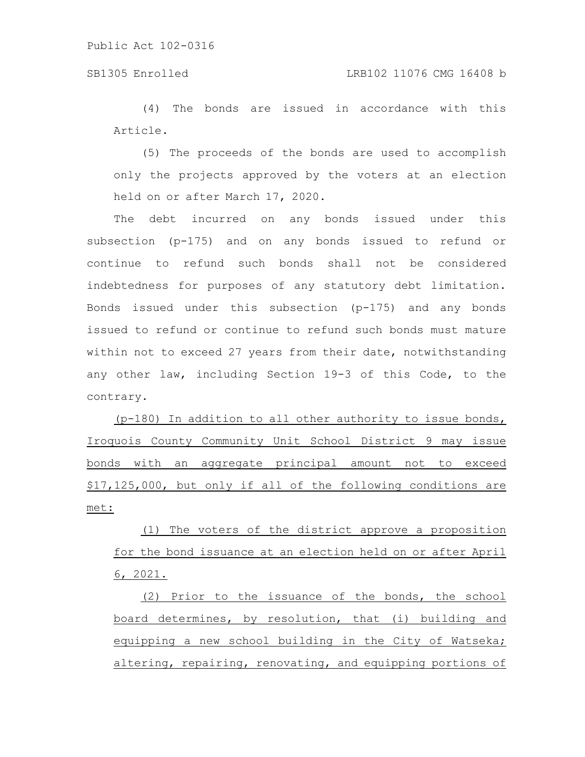# SB1305 Enrolled LRB102 11076 CMG 16408 b

(4) The bonds are issued in accordance with this Article.

(5) The proceeds of the bonds are used to accomplish only the projects approved by the voters at an election held on or after March 17, 2020.

The debt incurred on any bonds issued under this subsection (p-175) and on any bonds issued to refund or continue to refund such bonds shall not be considered indebtedness for purposes of any statutory debt limitation. Bonds issued under this subsection (p-175) and any bonds issued to refund or continue to refund such bonds must mature within not to exceed 27 years from their date, notwithstanding any other law, including Section 19-3 of this Code, to the contrary.

(p-180) In addition to all other authority to issue bonds, Iroquois County Community Unit School District 9 may issue bonds with an aggregate principal amount not to exceed \$17,125,000, but only if all of the following conditions are met:

(1) The voters of the district approve a proposition for the bond issuance at an election held on or after April 6, 2021.

(2) Prior to the issuance of the bonds, the school board determines, by resolution, that (i) building and equipping a new school building in the City of Watseka; altering, repairing, renovating, and equipping portions of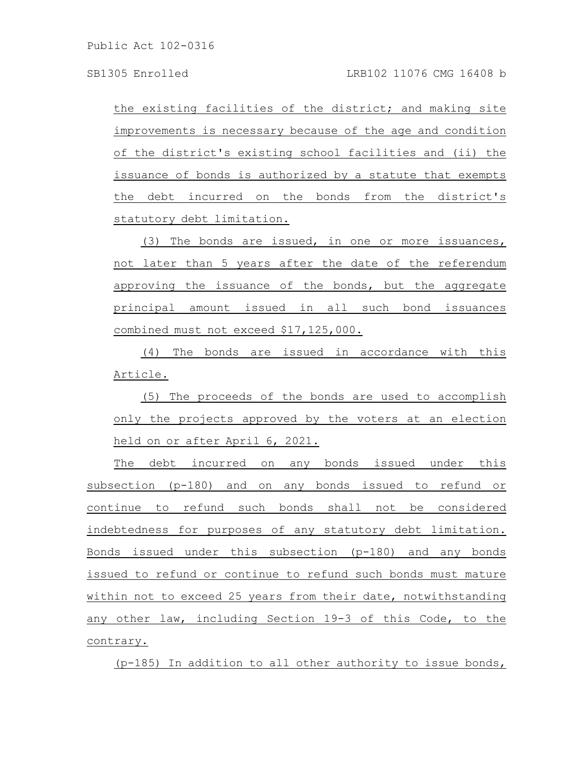the existing facilities of the district; and making site improvements is necessary because of the age and condition of the district's existing school facilities and (ii) the issuance of bonds is authorized by a statute that exempts the debt incurred on the bonds from the district's statutory debt limitation.

(3) The bonds are issued, in one or more issuances, not later than 5 years after the date of the referendum approving the issuance of the bonds, but the aggregate principal amount issued in all such bond issuances combined must not exceed \$17,125,000.

(4) The bonds are issued in accordance with this Article.

(5) The proceeds of the bonds are used to accomplish only the projects approved by the voters at an election held on or after April 6, 2021.

The debt incurred on any bonds issued under this subsection (p-180) and on any bonds issued to refund or continue to refund such bonds shall not be considered indebtedness for purposes of any statutory debt limitation. Bonds issued under this subsection (p-180) and any bonds issued to refund or continue to refund such bonds must mature within not to exceed 25 years from their date, notwithstanding any other law, including Section 19-3 of this Code, to the contrary.

(p-185) In addition to all other authority to issue bonds,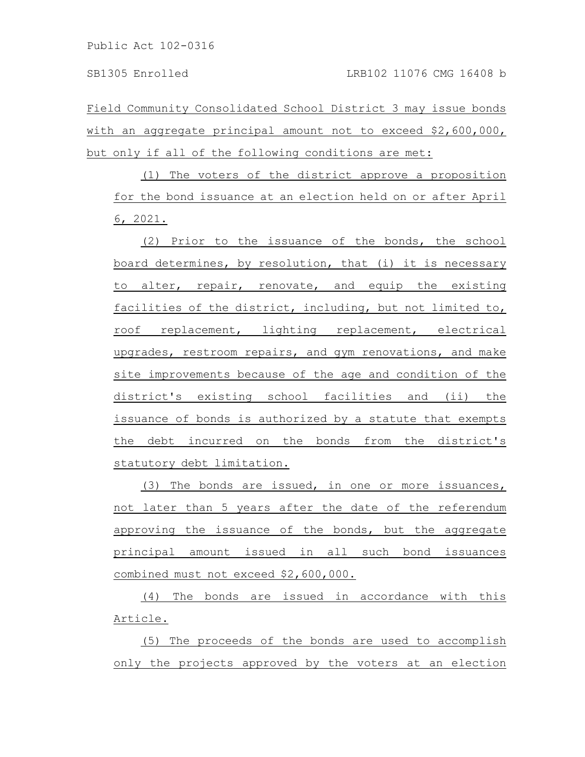Field Community Consolidated School District 3 may issue bonds with an aggregate principal amount not to exceed \$2,600,000, but only if all of the following conditions are met:

(1) The voters of the district approve a proposition for the bond issuance at an election held on or after April 6, 2021.

(2) Prior to the issuance of the bonds, the school board determines, by resolution, that (i) it is necessary to alter, repair, renovate, and equip the existing facilities of the district, including, but not limited to, roof replacement, lighting replacement, electrical upgrades, restroom repairs, and gym renovations, and make site improvements because of the age and condition of the district's existing school facilities and (ii) the issuance of bonds is authorized by a statute that exempts the debt incurred on the bonds from the district's statutory debt limitation.

(3) The bonds are issued, in one or more issuances, not later than 5 years after the date of the referendum approving the issuance of the bonds, but the aggregate principal amount issued in all such bond issuances combined must not exceed \$2,600,000.

(4) The bonds are issued in accordance with this Article.

(5) The proceeds of the bonds are used to accomplish only the projects approved by the voters at an election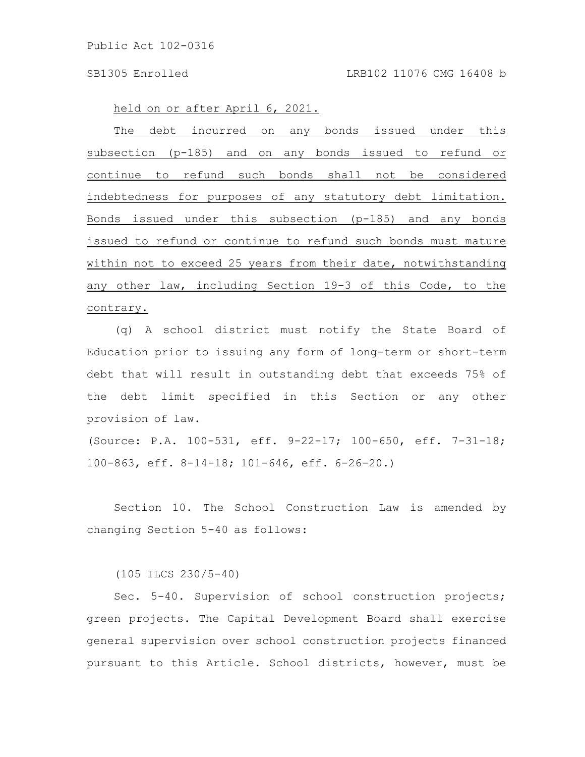held on or after April 6, 2021.

The debt incurred on any bonds issued under this subsection (p-185) and on any bonds issued to refund or continue to refund such bonds shall not be considered indebtedness for purposes of any statutory debt limitation. Bonds issued under this subsection (p-185) and any bonds issued to refund or continue to refund such bonds must mature within not to exceed 25 years from their date, notwithstanding any other law, including Section 19-3 of this Code, to the contrary.

(q) A school district must notify the State Board of Education prior to issuing any form of long-term or short-term debt that will result in outstanding debt that exceeds 75% of the debt limit specified in this Section or any other provision of law.

(Source: P.A. 100-531, eff. 9-22-17; 100-650, eff. 7-31-18; 100-863, eff. 8-14-18; 101-646, eff. 6-26-20.)

Section 10. The School Construction Law is amended by changing Section 5-40 as follows:

(105 ILCS 230/5-40)

Sec. 5-40. Supervision of school construction projects; green projects. The Capital Development Board shall exercise general supervision over school construction projects financed pursuant to this Article. School districts, however, must be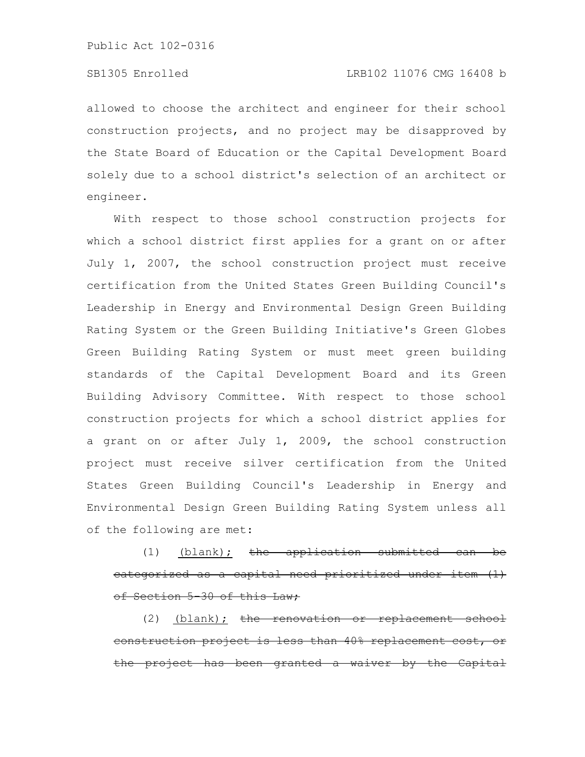allowed to choose the architect and engineer for their school construction projects, and no project may be disapproved by the State Board of Education or the Capital Development Board solely due to a school district's selection of an architect or engineer.

With respect to those school construction projects for which a school district first applies for a grant on or after July 1, 2007, the school construction project must receive certification from the United States Green Building Council's Leadership in Energy and Environmental Design Green Building Rating System or the Green Building Initiative's Green Globes Green Building Rating System or must meet green building standards of the Capital Development Board and its Green Building Advisory Committee. With respect to those school construction projects for which a school district applies for a grant on or after July 1, 2009, the school construction project must receive silver certification from the United States Green Building Council's Leadership in Energy and Environmental Design Green Building Rating System unless all of the following are met:

(1) (blank); the application submitt categorized as a capital need prioritized under of Section 5-30 of this Law;

(2) <u>(blank);</u> the renovation or replacement school construction project is less than 40% replacement project has been granted a waiver